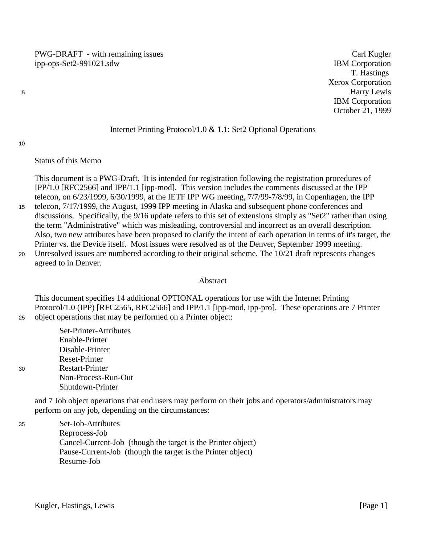PWG-DRAFT - with remaining issues Carl Kugler ipp-ops-Set2-991021.sdw IBM Corporation

T. Hastings Xerox Corporation Harry Lewis IBM Corporation October 21, 1999

#### Internet Printing Protocol/1.0 & 1.1: Set2 Optional Operations

10

30

5

#### Status of this Memo

This document is a PWG-Draft. It is intended for registration following the registration procedures of IPP/1.0 [RFC2566] and IPP/1.1 [ipp-mod]. This version includes the comments discussed at the IPP telecon, on 6/23/1999, 6/30/1999, at the IETF IPP WG meeting, 7/7/99-7/8/99, in Copenhagen, the IPP

- telecon, 7/17/1999, the August, 1999 IPP meeting in Alaska and subsequent phone conferences and discussions. Specifically, the 9/16 update refers to this set of extensions simply as "Set2" rather than using the term "Administrative" which was misleading, controversial and incorrect as an overall description. Also, two new attributes have been proposed to clarify the intent of each operation in terms of it's target, the Printer vs. the Device itself. Most issues were resolved as of the Denver, September 1999 meeting. 15
- Unresolved issues are numbered according to their original scheme. The 10/21 draft represents changes agreed to in Denver. 20

#### Abstract

This document specifies 14 additional OPTIONAL operations for use with the Internet Printing Protocol/1.0 (IPP) [RFC2565, RFC2566] and IPP/1.1 [ipp-mod, ipp-pro]. These operations are 7 Printer object operations that may be performed on a Printer object: 25

Set-Printer-Attributes Enable-Printer Disable-Printer Reset-Printer Restart-Printer Non-Process-Run-Out Shutdown-Printer

and 7 Job object operations that end users may perform on their jobs and operators/administrators may perform on any job, depending on the circumstances:

Set-Job-Attributes Reprocess-Job Cancel-Current-Job (though the target is the Printer object) Pause-Current-Job (though the target is the Printer object) Resume-Job 35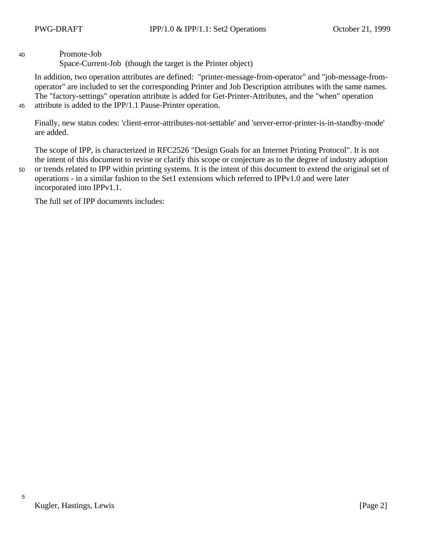Promote-Job

Space-Current-Job (though the target is the Printer object)

In addition, two operation attributes are defined: "printer-message-from-operator" and "job-message-fromoperator" are included to set the corresponding Printer and Job Description attributes with the same names. The "factory-settings" operation attribute is added for Get-Printer-Attributes, and the "when" operation attribute is added to the IPP/1.1 Pause-Printer operation.

45

40

Finally, new status codes: 'client-error-attributes-not-settable' and 'server-error-printer-is-in-standby-mode' are added.

The scope of IPP, is characterized in RFC2526 "Design Goals for an Internet Printing Protocol". It is not the intent of this document to revise or clarify this scope or conjecture as to the degree of industry adoption

50

or trends related to IPP within printing systems. It is the intent of this document to extend the original set of operations - in a similar fashion to the Set1 extensions which referred to IPPv1.0 and were later incorporated into IPPv1.1.

The full set of IPP documents includes:

5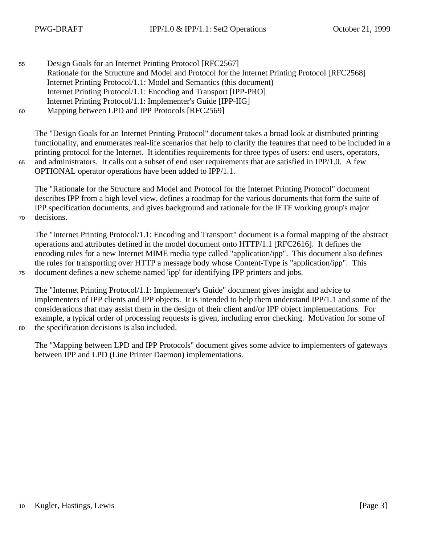65

70

75

Design Goals for an Internet Printing Protocol [RFC2567] Rationale for the Structure and Model and Protocol for the Internet Printing Protocol [RFC2568] Internet Printing Protocol/1.1: Model and Semantics (this document) Internet Printing Protocol/1.1: Encoding and Transport [IPP-PRO] Internet Printing Protocol/1.1: Implementer's Guide [IPP-IIG] Mapping between LPD and IPP Protocols [RFC2569] 55 60

The "Design Goals for an Internet Printing Protocol" document takes a broad look at distributed printing functionality, and enumerates real-life scenarios that help to clarify the features that need to be included in a printing protocol for the Internet. It identifies requirements for three types of users: end users, operators, and administrators. It calls out a subset of end user requirements that are satisfied in IPP/1.0. A few OPTIONAL operator operations have been added to IPP/1.1.

The "Rationale for the Structure and Model and Protocol for the Internet Printing Protocol" document describes IPP from a high level view, defines a roadmap for the various documents that form the suite of IPP specification documents, and gives background and rationale for the IETF working group's major decisions.

The "Internet Printing Protocol/1.1: Encoding and Transport" document is a formal mapping of the abstract operations and attributes defined in the model document onto HTTP/1.1 [RFC2616]. It defines the encoding rules for a new Internet MIME media type called "application/ipp". This document also defines the rules for transporting over HTTP a message body whose Content-Type is "application/ipp". This document defines a new scheme named 'ipp' for identifying IPP printers and jobs.

The "Internet Printing Protocol/1.1: Implementer's Guide" document gives insight and advice to implementers of IPP clients and IPP objects. It is intended to help them understand IPP/1.1 and some of the considerations that may assist them in the design of their client and/or IPP object implementations. For example, a typical order of processing requests is given, including error checking. Motivation for some of the specification decisions is also included.

80

The "Mapping between LPD and IPP Protocols" document gives some advice to implementers of gateways between IPP and LPD (Line Printer Daemon) implementations.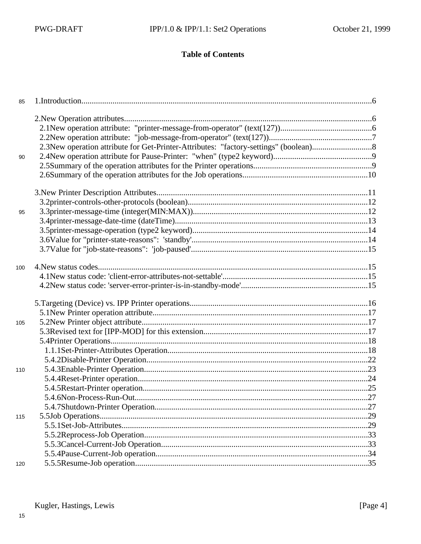# **Table of Contents**

| 85  |  |
|-----|--|
|     |  |
|     |  |
|     |  |
|     |  |
| 90  |  |
|     |  |
|     |  |
|     |  |
|     |  |
| 95  |  |
|     |  |
|     |  |
|     |  |
|     |  |
| 100 |  |
|     |  |
|     |  |
|     |  |
|     |  |
| 105 |  |
|     |  |
|     |  |
|     |  |
|     |  |
| 110 |  |
|     |  |
|     |  |
|     |  |
|     |  |
| 115 |  |
|     |  |
|     |  |
|     |  |
|     |  |
| 120 |  |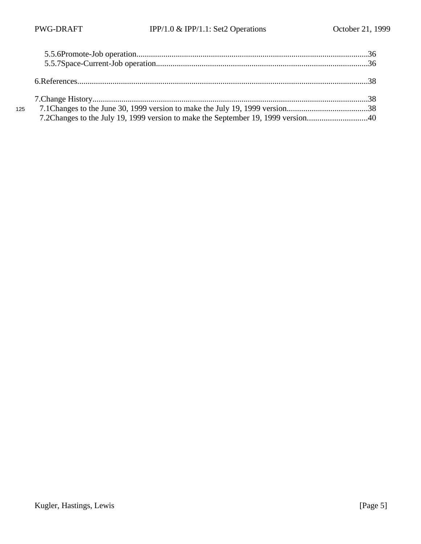| 125 |                                                                                  |  |
|-----|----------------------------------------------------------------------------------|--|
|     | 7.2Changes to the July 19, 1999 version to make the September 19, 1999 version40 |  |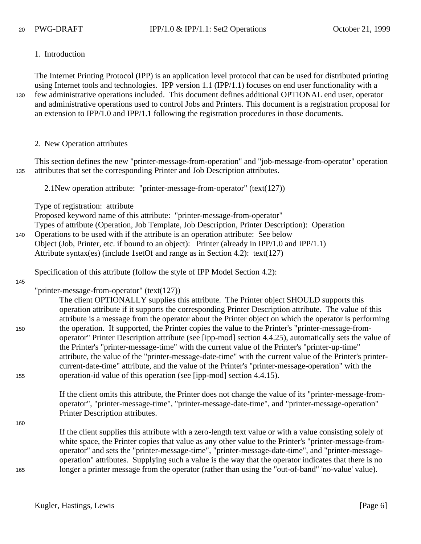1. Introduction

The Internet Printing Protocol (IPP) is an application level protocol that can be used for distributed printing using Internet tools and technologies. IPP version 1.1 (IPP/1.1) focuses on end user functionality with a few administrative operations included. This document defines additional OPTIONAL end user, operator and administrative operations used to control Jobs and Printers. This document is a registration proposal for an extension to IPP/1.0 and IPP/1.1 following the registration procedures in those documents. 130

2. New Operation attributes

This section defines the new "printer-message-from-operation" and "job-message-from-operator" operation attributes that set the corresponding Printer and Job Description attributes. 135

2.1New operation attribute: "printer-message-from-operator" (text(127))

Type of registration: attribute

Proposed keyword name of this attribute: "printer-message-from-operator"

Types of attribute (Operation, Job Template, Job Description, Printer Description): Operation

Operations to be used with if the attribute is an operation attribute: See below 140

Object (Job, Printer, etc. if bound to an object): Printer (already in IPP/1.0 and IPP/1.1)

Attribute syntax(es) (include 1setOf and range as in Section 4.2): text(127)

Specification of this attribute (follow the style of IPP Model Section 4.2):

145

150

155

"printer-message-from-operator" (text(127))

The client OPTIONALLY supplies this attribute. The Printer object SHOULD supports this operation attribute if it supports the corresponding Printer Description attribute. The value of this attribute is a message from the operator about the Printer object on which the operator is performing the operation. If supported, the Printer copies the value to the Printer's "printer-message-fromoperator" Printer Description attribute (see [ipp-mod] section 4.4.25), automatically sets the value of the Printer's "printer-message-time" with the current value of the Printer's "printer-up-time" attribute, the value of the "printer-message-date-time" with the current value of the Printer's printercurrent-date-time" attribute, and the value of the Printer's "printer-message-operation" with the operation-id value of this operation (see [ipp-mod] section 4.4.15).

If the client omits this attribute, the Printer does not change the value of its "printer-message-fromoperator", "printer-message-time", "printer-message-date-time", and "printer-message-operation" Printer Description attributes.

160

165

If the client supplies this attribute with a zero-length text value or with a value consisting solely of white space, the Printer copies that value as any other value to the Printer's "printer-message-fromoperator" and sets the "printer-message-time", "printer-message-date-time", and "printer-messageoperation" attributes. Supplying such a value is the way that the operator indicates that there is no longer a printer message from the operator (rather than using the "out-of-band" 'no-value' value).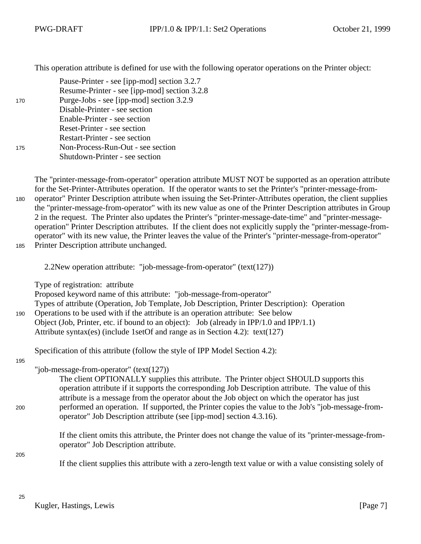This operation attribute is defined for use with the following operator operations on the Printer object:

| 170 | Pause-Printer - see [ipp-mod] section 3.2.7<br>Resume-Printer - see [ipp-mod] section 3.2.8<br>Purge-Jobs - see [ipp-mod] section 3.2.9 |
|-----|-----------------------------------------------------------------------------------------------------------------------------------------|
|     | Disable-Printer - see section                                                                                                           |
|     | Enable-Printer - see section                                                                                                            |
|     | Reset-Printer - see section                                                                                                             |
|     | <b>Restart-Printer - see section</b>                                                                                                    |
| 175 | Non-Process-Run-Out - see section                                                                                                       |
|     | Shutdown-Printer - see section                                                                                                          |
|     |                                                                                                                                         |

The "printer-message-from-operator" operation attribute MUST NOT be supported as an operation attribute for the Set-Printer-Attributes operation. If the operator wants to set the Printer's "printer-message-fromoperator" Printer Description attribute when issuing the Set-Printer-Attributes operation, the client supplies the "printer-message-from-operator" with its new value as one of the Printer Description attributes in Group 2 in the request. The Printer also updates the Printer's "printer-message-date-time" and "printer-messageoperation" Printer Description attributes. If the client does not explicitly supply the "printer-message-fromoperator" with its new value, the Printer leaves the value of the Printer's "printer-message-from-operator" Printer Description attribute unchanged. 180 185

2.2New operation attribute: "job-message-from-operator" (text(127))

Type of registration: attribute

Proposed keyword name of this attribute: "job-message-from-operator" Types of attribute (Operation, Job Template, Job Description, Printer Description): Operation Operations to be used with if the attribute is an operation attribute: See below Object (Job, Printer, etc. if bound to an object): Job (already in IPP/1.0 and IPP/1.1) Attribute syntax(es) (include 1setOf and range as in Section 4.2): text(127)

Specification of this attribute (follow the style of IPP Model Section 4.2):

195

190

"job-message-from-operator" (text(127))

The client OPTIONALLY supplies this attribute. The Printer object SHOULD supports this operation attribute if it supports the corresponding Job Description attribute. The value of this attribute is a message from the operator about the Job object on which the operator has just performed an operation. If supported, the Printer copies the value to the Job's "job-message-fromoperator" Job Description attribute (see [ipp-mod] section 4.3.16).

If the client omits this attribute, the Printer does not change the value of its "printer-message-fromoperator" Job Description attribute.

205

200

If the client supplies this attribute with a zero-length text value or with a value consisting solely of

25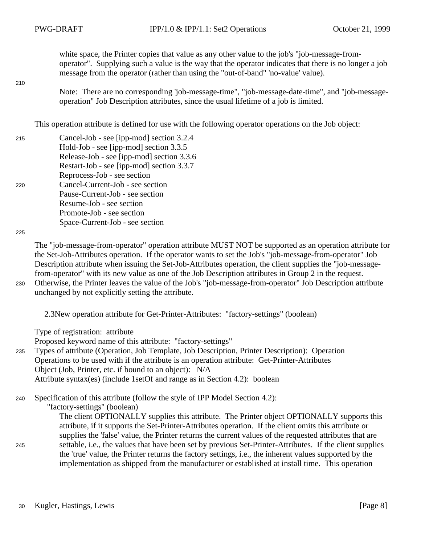white space, the Printer copies that value as any other value to the job's "job-message-fromoperator". Supplying such a value is the way that the operator indicates that there is no longer a job message from the operator (rather than using the "out-of-band" 'no-value' value).

210

Note: There are no corresponding 'job-message-time", "job-message-date-time", and "job-messageoperation" Job Description attributes, since the usual lifetime of a job is limited.

This operation attribute is defined for use with the following operator operations on the Job object:

- Cancel-Job see [ipp-mod] section 3.2.4 Hold-Job - see [ipp-mod] section 3.3.5 Release-Job - see [ipp-mod] section 3.3.6 Restart-Job - see [ipp-mod] section 3.3.7 Reprocess-Job - see section Cancel-Current-Job - see section Pause-Current-Job - see section Resume-Job - see section Promote-Job - see section Space-Current-Job - see section 215 220
- 225

The "job-message-from-operator" operation attribute MUST NOT be supported as an operation attribute for the Set-Job-Attributes operation. If the operator wants to set the Job's "job-message-from-operator" Job Description attribute when issuing the Set-Job-Attributes operation, the client supplies the "job-messagefrom-operator" with its new value as one of the Job Description attributes in Group 2 in the request. Otherwise, the Printer leaves the value of the Job's "job-message-from-operator" Job Description attribute

230

245

unchanged by not explicitly setting the attribute.

2.3New operation attribute for Get-Printer-Attributes: "factory-settings" (boolean)

Type of registration: attribute

Proposed keyword name of this attribute: "factory-settings"

Types of attribute (Operation, Job Template, Job Description, Printer Description): Operation Operations to be used with if the attribute is an operation attribute: Get-Printer-Attributes Object (Job, Printer, etc. if bound to an object): N/A Attribute syntax(es) (include 1setOf and range as in Section 4.2): boolean 235

Specification of this attribute (follow the style of IPP Model Section 4.2): 240

"factory-settings" (boolean)

The client OPTIONALLY supplies this attribute. The Printer object OPTIONALLY supports this attribute, if it supports the Set-Printer-Attributes operation. If the client omits this attribute or supplies the 'false' value, the Printer returns the current values of the requested attributes that are settable, i.e., the values that have been set by previous Set-Printer-Attributes. If the client supplies the 'true' value, the Printer returns the factory settings, i.e., the inherent values supported by the implementation as shipped from the manufacturer or established at install time. This operation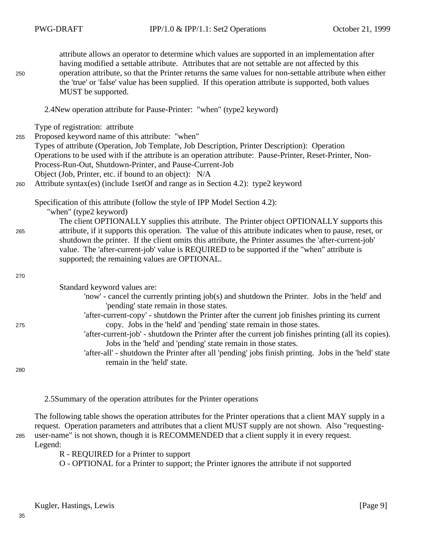| 250 | attribute allows an operator to determine which values are supported in an implementation after<br>having modified a settable attribute. Attributes that are not settable are not affected by this<br>operation attribute, so that the Printer returns the same values for non-settable attribute when either<br>the 'true' or 'false' value has been supplied. If this operation attribute is supported, both values<br>MUST be supported.                                                                                                                               |
|-----|---------------------------------------------------------------------------------------------------------------------------------------------------------------------------------------------------------------------------------------------------------------------------------------------------------------------------------------------------------------------------------------------------------------------------------------------------------------------------------------------------------------------------------------------------------------------------|
|     | 2.4New operation attribute for Pause-Printer: "when" (type2 keyword)                                                                                                                                                                                                                                                                                                                                                                                                                                                                                                      |
| 255 | Type of registration: attribute<br>Proposed keyword name of this attribute: "when"<br>Types of attribute (Operation, Job Template, Job Description, Printer Description): Operation<br>Operations to be used with if the attribute is an operation attribute: Pause-Printer, Reset-Printer, Non-<br>Process-Run-Out, Shutdown-Printer, and Pause-Current-Job<br>Object (Job, Printer, etc. if bound to an object): N/A                                                                                                                                                    |
| 260 | Attribute syntax(es) (include 1setOf and range as in Section 4.2): type2 keyword                                                                                                                                                                                                                                                                                                                                                                                                                                                                                          |
| 265 | Specification of this attribute (follow the style of IPP Model Section 4.2):<br>"when" (type2 keyword)<br>The client OPTIONALLY supplies this attribute. The Printer object OPTIONALLY supports this<br>attribute, if it supports this operation. The value of this attribute indicates when to pause, reset, or<br>shutdown the printer. If the client omits this attribute, the Printer assumes the 'after-current-job'<br>value. The 'after-current-job' value is REQUIRED to be supported if the "when" attribute is<br>supported; the remaining values are OPTIONAL. |
| 270 |                                                                                                                                                                                                                                                                                                                                                                                                                                                                                                                                                                           |
| 275 | Standard keyword values are:<br>'now' - cancel the currently printing job(s) and shutdown the Printer. Jobs in the 'held' and<br>'pending' state remain in those states.<br>'after-current-copy' - shutdown the Printer after the current job finishes printing its current<br>copy. Jobs in the 'held' and 'pending' state remain in those states.<br>'after-current-job' - shutdown the Printer after the current job finishes printing (all its copies).                                                                                                               |
| 280 | Jobs in the 'held' and 'pending' state remain in those states.<br>'after-all' - shutdown the Printer after all 'pending' jobs finish printing. Jobs in the 'held' state<br>remain in the 'held' state.                                                                                                                                                                                                                                                                                                                                                                    |

2.5Summary of the operation attributes for the Printer operations

The following table shows the operation attributes for the Printer operations that a client MAY supply in a request. Operation parameters and attributes that a client MUST supply are not shown. Also "requestinguser-name" is not shown, though it is RECOMMENDED that a client supply it in every request. Legend: 285

R - REQUIRED for a Printer to support

O - OPTIONAL for a Printer to support; the Printer ignores the attribute if not supported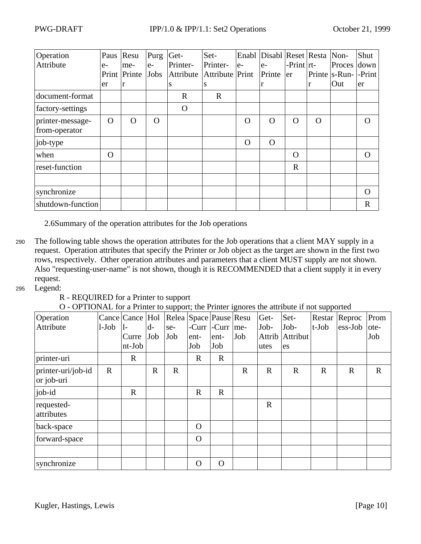| Operation<br>Attribute            | Paus<br>$e-$<br>Print<br>er | Resu<br>me-<br>Printe<br>r | Purg<br>$e-$<br>Jobs | Get-<br>Printer-<br>Attribute<br>S | Set-<br>Printer-<br>Attribute Print<br>S | $e-$        | Enabl Disabl Reset Resta<br>$e-$<br>Printe<br>r | $-Print   rt$<br>er | r        | Non-<br>Proces down<br>Printe   s-Run-   - Print  <br>Out | Shut<br>er  |
|-----------------------------------|-----------------------------|----------------------------|----------------------|------------------------------------|------------------------------------------|-------------|-------------------------------------------------|---------------------|----------|-----------------------------------------------------------|-------------|
| document-format                   |                             |                            |                      | $\mathbf R$                        | $\mathbf R$                              |             |                                                 |                     |          |                                                           |             |
| factory-settings                  |                             |                            |                      | $\Omega$                           |                                          |             |                                                 |                     |          |                                                           |             |
| printer-message-<br>from-operator | $\Omega$                    | $\Omega$                   | $\Omega$             |                                    |                                          | $\mathbf O$ | $\Omega$                                        | $\Omega$            | $\Omega$ |                                                           | ∩           |
| job-type                          |                             |                            |                      |                                    |                                          | $\Omega$    | $\Omega$                                        |                     |          |                                                           |             |
| when                              | $\Omega$                    |                            |                      |                                    |                                          |             |                                                 | $\Omega$            |          |                                                           | $\Omega$    |
| reset-function                    |                             |                            |                      |                                    |                                          |             |                                                 | $\mathbf R$         |          |                                                           |             |
|                                   |                             |                            |                      |                                    |                                          |             |                                                 |                     |          |                                                           |             |
| synchronize                       |                             |                            |                      |                                    |                                          |             |                                                 |                     |          |                                                           | $\Omega$    |
| shutdown-function                 |                             |                            |                      |                                    |                                          |             |                                                 |                     |          |                                                           | $\mathbf R$ |

2.6Summary of the operation attributes for the Job operations

- The following table shows the operation attributes for the Job operations that a client MAY supply in a request. Operation attributes that specify the Printer or Job object as the target are shown in the first two rows, respectively. Other operation attributes and parameters that a client MUST supply are not shown. Also "requesting-user-name" is not shown, though it is RECOMMENDED that a client supply it in every request. 290
- Legend: 295

R - REQUIRED for a Printer to support

| Operation                        |             | Cance Cance Hol |             |             | Relea Space Pause Resu |             |             | Get-        | Set-        | Restar      | Reproc      | Prom        |
|----------------------------------|-------------|-----------------|-------------|-------------|------------------------|-------------|-------------|-------------|-------------|-------------|-------------|-------------|
| Attribute                        | $1-Job$     | 1-              | $d-$        | se-         | -Curr                  | $-Curr$     | me-         | Job-        | Job-        | $t$ -Job    | ess-Job     | ote-        |
|                                  |             | Curre           | Job         | Job         | ent-                   | ent-        | Job         | Attrib      | Attribut    |             |             | Job         |
|                                  |             | $nt-Job$        |             |             | Job                    | Job         |             | utes        | es          |             |             |             |
| printer-uri                      |             | $\mathbf R$     |             |             | $\mathbf R$            | $\mathbf R$ |             |             |             |             |             |             |
| printer-uri/job-id<br>or job-uri | $\mathbf R$ |                 | $\mathbf R$ | $\mathbf R$ |                        |             | $\mathbf R$ | $\mathbf R$ | $\mathbf R$ | $\mathbf R$ | $\mathbf R$ | $\mathbf R$ |
| job-id                           |             | $\mathbf R$     |             |             | $\mathbf R$            | $\mathbf R$ |             |             |             |             |             |             |
| requested-<br>attributes         |             |                 |             |             |                        |             |             | $\mathbf R$ |             |             |             |             |
| back-space                       |             |                 |             |             | $\Omega$               |             |             |             |             |             |             |             |
| forward-space                    |             |                 |             |             | $\Omega$               |             |             |             |             |             |             |             |
|                                  |             |                 |             |             |                        |             |             |             |             |             |             |             |
| synchronize                      |             |                 |             |             | $\overline{O}$         | $\mathbf O$ |             |             |             |             |             |             |

O - OPTIONAL for a Printer to support; the Printer ignores the attribute if not supported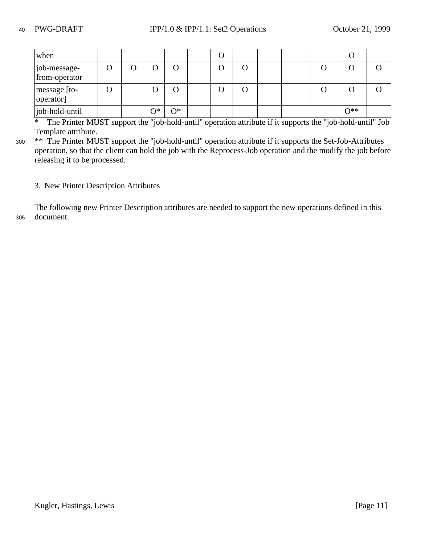| when                          |  |    |    | O |     |  |       |  |
|-------------------------------|--|----|----|---|-----|--|-------|--|
| job-message-<br>from-operator |  |    |    |   |     |  |       |  |
| message [to-<br>operator]     |  |    |    |   | . . |  |       |  |
| job-hold-until                |  | ገ* | า∗ |   |     |  | $O**$ |  |

\* The Printer MUST support the "job-hold-until" operation attribute if it supports the "job-hold-until" Job Template attribute.

\*\* The Printer MUST support the "job-hold-until" operation attribute if it supports the Set-Job-Attributes operation, so that the client can hold the job with the Reprocess-Job operation and the modify the job before releasing it to be processed. 300

### 3. New Printer Description Attributes

The following new Printer Description attributes are needed to support the new operations defined in this document. 305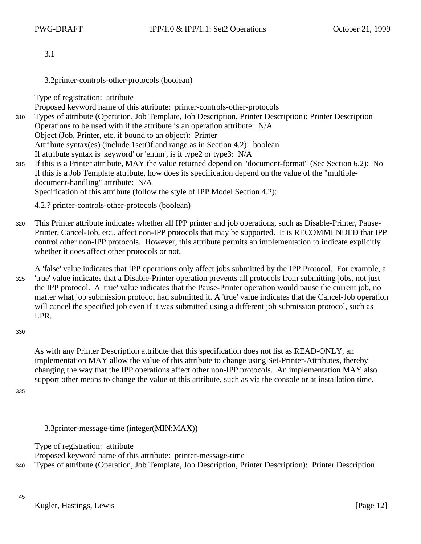3.1

3.2printer-controls-other-protocols (boolean)

Type of registration: attribute

Proposed keyword name of this attribute: printer-controls-other-protocols Types of attribute (Operation, Job Template, Job Description, Printer Description): Printer Description Operations to be used with if the attribute is an operation attribute: N/A Object (Job, Printer, etc. if bound to an object): Printer Attribute syntax(es) (include 1setOf and range as in Section 4.2): boolean If attribute syntax is 'keyword' or 'enum', is it type2 or type3: N/A 310

If this is a Printer attribute, MAY the value returned depend on "document-format" (See Section 6.2): No If this is a Job Template attribute, how does its specification depend on the value of the "multipledocument-handling" attribute: N/A Specification of this attribute (follow the style of IPP Model Section 4.2): 315

4.2.? printer-controls-other-protocols (boolean)

- This Printer attribute indicates whether all IPP printer and job operations, such as Disable-Printer, Pause-Printer, Cancel-Job, etc., affect non-IPP protocols that may be supported. It is RECOMMENDED that IPP control other non-IPP protocols. However, this attribute permits an implementation to indicate explicitly whether it does affect other protocols or not. 320
- A 'false' value indicates that IPP operations only affect jobs submitted by the IPP Protocol. For example, a 'true' value indicates that a Disable-Printer operation prevents all protocols from submitting jobs, not just the IPP protocol. A 'true' value indicates that the Pause-Printer operation would pause the current job, no matter what job submission protocol had submitted it. A 'true' value indicates that the Cancel-Job operation will cancel the specified job even if it was submitted using a different job submission protocol, such as LPR. 325
- 330

As with any Printer Description attribute that this specification does not list as READ-ONLY, an implementation MAY allow the value of this attribute to change using Set-Printer-Attributes, thereby changing the way that the IPP operations affect other non-IPP protocols. An implementation MAY also support other means to change the value of this attribute, such as via the console or at installation time.

335

3.3printer-message-time (integer(MIN:MAX))

Type of registration: attribute

Proposed keyword name of this attribute: printer-message-time

Types of attribute (Operation, Job Template, Job Description, Printer Description): Printer Description 340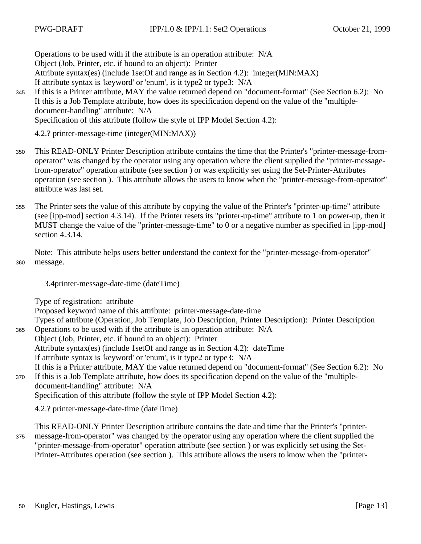Operations to be used with if the attribute is an operation attribute: N/A Object (Job, Printer, etc. if bound to an object): Printer Attribute syntax(es) (include 1setOf and range as in Section 4.2): integer(MIN:MAX) If attribute syntax is 'keyword' or 'enum', is it type2 or type3: N/A

If this is a Printer attribute, MAY the value returned depend on "document-format" (See Section 6.2): No If this is a Job Template attribute, how does its specification depend on the value of the "multipledocument-handling" attribute: N/A Specification of this attribute (follow the style of IPP Model Section 4.2): 345

4.2.? printer-message-time (integer(MIN:MAX))

- This READ-ONLY Printer Description attribute contains the time that the Printer's "printer-message-fromoperator" was changed by the operator using any operation where the client supplied the "printer-messagefrom-operator" operation attribute (see section ) or was explicitly set using the Set-Printer-Attributes operation (see section ). This attribute allows the users to know when the "printer-message-from-operator" attribute was last set. 350
- The Printer sets the value of this attribute by copying the value of the Printer's "printer-up-time" attribute (see [ipp-mod] section 4.3.14). If the Printer resets its "printer-up-time" attribute to 1 on power-up, then it MUST change the value of the "printer-message-time" to 0 or a negative number as specified in [ipp-mod] section 4.3.14. 355

Note: This attribute helps users better understand the context for the "printer-message-from-operator" message. 360

3.4printer-message-date-time (dateTime)

Type of registration: attribute

Proposed keyword name of this attribute: printer-message-date-time

Types of attribute (Operation, Job Template, Job Description, Printer Description): Printer Description Operations to be used with if the attribute is an operation attribute: N/A 365

Object (Job, Printer, etc. if bound to an object): Printer

Attribute syntax(es) (include 1setOf and range as in Section 4.2): dateTime

If attribute syntax is 'keyword' or 'enum', is it type2 or type3: N/A

- If this is a Printer attribute, MAY the value returned depend on "document-format" (See Section 6.2): No If this is a Job Template attribute, how does its specification depend on the value of the "multiple-370
- document-handling" attribute: N/A Specification of this attribute (follow the style of IPP Model Section 4.2):

4.2.? printer-message-date-time (dateTime)

This READ-ONLY Printer Description attribute contains the date and time that the Printer's "printermessage-from-operator" was changed by the operator using any operation where the client supplied the "printer-message-from-operator" operation attribute (see section ) or was explicitly set using the Set-Printer-Attributes operation (see section ). This attribute allows the users to know when the "printer-375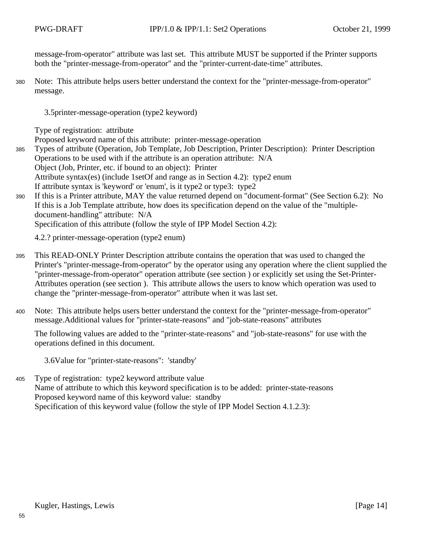message-from-operator" attribute was last set. This attribute MUST be supported if the Printer supports both the "printer-message-from-operator" and the "printer-current-date-time" attributes.

Note: This attribute helps users better understand the context for the "printer-message-from-operator" message. 380

3.5printer-message-operation (type2 keyword)

Type of registration: attribute

Proposed keyword name of this attribute: printer-message-operation

- Types of attribute (Operation, Job Template, Job Description, Printer Description): Printer Description Operations to be used with if the attribute is an operation attribute: N/A Object (Job, Printer, etc. if bound to an object): Printer Attribute syntax(es) (include 1setOf and range as in Section 4.2): type2 enum If attribute syntax is 'keyword' or 'enum', is it type2 or type3: type2 385
- If this is a Printer attribute, MAY the value returned depend on "document-format" (See Section 6.2): No If this is a Job Template attribute, how does its specification depend on the value of the "multipledocument-handling" attribute: N/A 390

Specification of this attribute (follow the style of IPP Model Section 4.2):

4.2.? printer-message-operation (type2 enum)

- This READ-ONLY Printer Description attribute contains the operation that was used to changed the Printer's "printer-message-from-operator" by the operator using any operation where the client supplied the "printer-message-from-operator" operation attribute (see section ) or explicitly set using the Set-Printer-Attributes operation (see section ). This attribute allows the users to know which operation was used to change the "printer-message-from-operator" attribute when it was last set. 395
- Note: This attribute helps users better understand the context for the "printer-message-from-operator" message.Additional values for "printer-state-reasons" and "job-state-reasons" attributes 400

The following values are added to the "printer-state-reasons" and "job-state-reasons" for use with the operations defined in this document.

3.6Value for "printer-state-reasons": 'standby'

Type of registration: type2 keyword attribute value Name of attribute to which this keyword specification is to be added: printer-state-reasons Proposed keyword name of this keyword value: standby Specification of this keyword value (follow the style of IPP Model Section 4.1.2.3): 405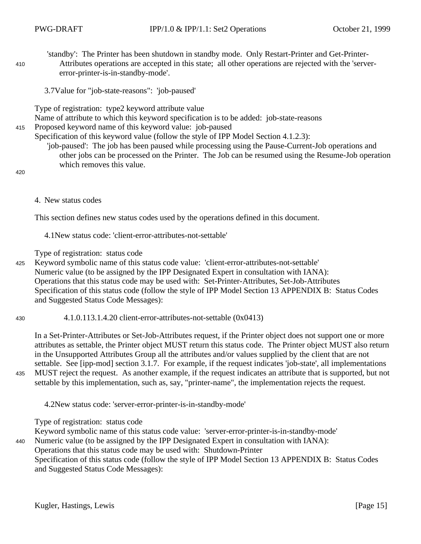'standby': The Printer has been shutdown in standby mode. Only Restart-Printer and Get-Printer-Attributes operations are accepted in this state; all other operations are rejected with the 'servererror-printer-is-in-standby-mode'.

3.7Value for "job-state-reasons": 'job-paused'

Type of registration: type2 keyword attribute value

Name of attribute to which this keyword specification is to be added: job-state-reasons

Proposed keyword name of this keyword value: job-paused 415

Specification of this keyword value (follow the style of IPP Model Section 4.1.2.3):

'job-paused': The job has been paused while processing using the Pause-Current-Job operations and other jobs can be processed on the Printer. The Job can be resumed using the Resume-Job operation which removes this value.

420

410

4. New status codes

This section defines new status codes used by the operations defined in this document.

4.1New status code: 'client-error-attributes-not-settable'

Type of registration: status code

Keyword symbolic name of this status code value: 'client-error-attributes-not-settable' Numeric value (to be assigned by the IPP Designated Expert in consultation with IANA): Operations that this status code may be used with: Set-Printer-Attributes, Set-Job-Attributes Specification of this status code (follow the style of IPP Model Section 13 APPENDIX B: Status Codes and Suggested Status Code Messages): 425

4.1.0.113.1.4.20 client-error-attributes-not-settable (0x0413) 430

In a Set-Printer-Attributes or Set-Job-Attributes request, if the Printer object does not support one or more attributes as settable, the Printer object MUST return this status code. The Printer object MUST also return in the Unsupported Attributes Group all the attributes and/or values supplied by the client that are not settable. See [ipp-mod] section 3.1.7. For example, if the request indicates 'job-state', all implementations MUST reject the request. As another example, if the request indicates an attribute that is supported, but not

settable by this implementation, such as, say, "printer-name", the implementation rejects the request. 435

4.2New status code: 'server-error-printer-is-in-standby-mode'

Type of registration: status code

Keyword symbolic name of this status code value: 'server-error-printer-is-in-standby-mode'

Numeric value (to be assigned by the IPP Designated Expert in consultation with IANA): 440

Operations that this status code may be used with: Shutdown-Printer

Specification of this status code (follow the style of IPP Model Section 13 APPENDIX B: Status Codes and Suggested Status Code Messages):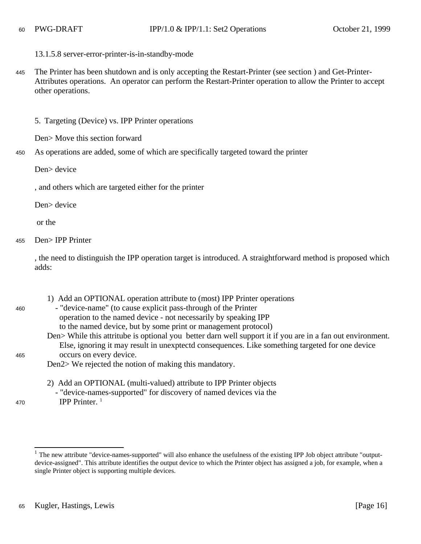#### 13.1.5.8 server-error-printer-is-in-standby-mode

The Printer has been shutdown and is only accepting the Restart-Printer (see section ) and Get-Printer-Attributes operations. An operator can perform the Restart-Printer operation to allow the Printer to accept other operations. 445

5. Targeting (Device) vs. IPP Printer operations

Den> Move this section forward

As operations are added, some of which are specifically targeted toward the printer 450

Den> device

, and others which are targeted either for the printer

Den> device

or the

460

465

470

Den> IPP Printer 455

> , the need to distinguish the IPP operation target is introduced. A straightforward method is proposed which adds:

> 1) Add an OPTIONAL operation attribute to (most) IPP Printer operations - "device-name" (to cause explicit pass-through of the Printer operation to the named device - not necessarily by speaking IPP to the named device, but by some print or management protocol) Den> While this attritube is optional you better darn well support it if you are in a fan out environment. Else, ignoring it may result in unexptectd consequences. Like something targeted for one device occurs on every device. Den2> We rejected the notion of making this mandatory.

2) Add an OPTIONAL (multi-valued) attribute to IPP Printer objects - "device-names-supported" for discovery of named devices via the IPP Printer. <sup>1</sup>

<sup>&</sup>lt;sup>1</sup> The new attribute "device-names-supported" will also enhance the usefulness of the existing IPP Job object attribute "outputdevice-assigned". This attribute identifies the output device to which the Printer object has assigned a job, for example, when a single Printer object is supporting multiple devices.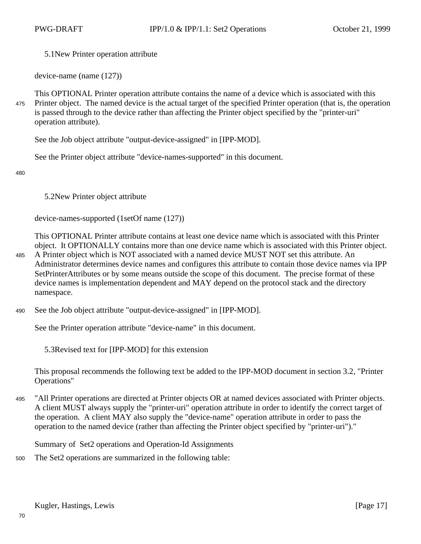5.1New Printer operation attribute

device-name (name (127))

This OPTIONAL Printer operation attribute contains the name of a device which is associated with this Printer object. The named device is the actual target of the specified Printer operation (that is, the operation is passed through to the device rather than affecting the Printer object specified by the "printer-uri" operation attribute). 475

See the Job object attribute "output-device-assigned" in [IPP-MOD].

See the Printer object attribute "device-names-supported" in this document.

480

5.2New Printer object attribute

device-names-supported (1setOf name (127))

This OPTIONAL Printer attribute contains at least one device name which is associated with this Printer object. It OPTIONALLY contains more than one device name which is associated with this Printer object.

A Printer object which is NOT associated with a named device MUST NOT set this attribute. An Administrator determines device names and configures this attribute to contain those device names via IPP SetPrinterAttributes or by some means outside the scope of this document. The precise format of these device names is implementation dependent and MAY depend on the protocol stack and the directory namespace. 485

See the Job object attribute "output-device-assigned" in [IPP-MOD]. 490

See the Printer operation attribute "device-name" in this document.

5.3Revised text for [IPP-MOD] for this extension

This proposal recommends the following text be added to the IPP-MOD document in section 3.2, "Printer Operations"

"All Printer operations are directed at Printer objects OR at named devices associated with Printer objects. A client MUST always supply the "printer-uri" operation attribute in order to identify the correct target of the operation. A client MAY also supply the "device-name" operation attribute in order to pass the operation to the named device (rather than affecting the Printer object specified by "printer-uri")." 495

Summary of Set2 operations and Operation-Id Assignments

The Set2 operations are summarized in the following table: 500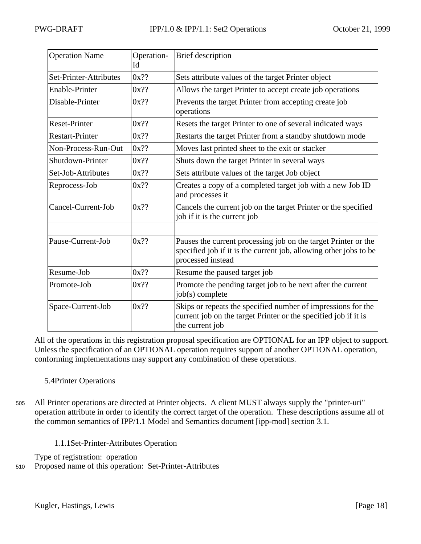| <b>Operation Name</b>  | Operation-<br>Id | <b>Brief</b> description                                                                                                                                 |
|------------------------|------------------|----------------------------------------------------------------------------------------------------------------------------------------------------------|
| Set-Printer-Attributes | $0x$ ??          | Sets attribute values of the target Printer object                                                                                                       |
| Enable-Printer         | $0x$ ??          | Allows the target Printer to accept create job operations                                                                                                |
| Disable-Printer        | $0x$ ??          | Prevents the target Printer from accepting create job<br>operations                                                                                      |
| <b>Reset-Printer</b>   | $0x$ ??          | Resets the target Printer to one of several indicated ways                                                                                               |
| <b>Restart-Printer</b> | $0x$ ??          | Restarts the target Printer from a standby shutdown mode                                                                                                 |
| Non-Process-Run-Out    | $0x$ ??          | Moves last printed sheet to the exit or stacker                                                                                                          |
| Shutdown-Printer       | $0x$ ??          | Shuts down the target Printer in several ways                                                                                                            |
| Set-Job-Attributes     | $0x$ ??          | Sets attribute values of the target Job object                                                                                                           |
| Reprocess-Job          | $0x$ ??          | Creates a copy of a completed target job with a new Job ID<br>and processes it                                                                           |
| Cancel-Current-Job     | $0x$ ??          | Cancels the current job on the target Printer or the specified<br>job if it is the current job                                                           |
|                        |                  |                                                                                                                                                          |
| Pause-Current-Job      | $0x$ ??          | Pauses the current processing job on the target Printer or the<br>specified job if it is the current job, allowing other jobs to be<br>processed instead |
| Resume-Job             | $0x$ ??          | Resume the paused target job                                                                                                                             |
| Promote-Job            | $0x$ ??          | Promote the pending target job to be next after the current<br>job(s) complete                                                                           |
| Space-Current-Job      | $0x$ ??          | Skips or repeats the specified number of impressions for the<br>current job on the target Printer or the specified job if it is<br>the current job       |

All of the operations in this registration proposal specification are OPTIONAL for an IPP object to support. Unless the specification of an OPTIONAL operation requires support of another OPTIONAL operation, conforming implementations may support any combination of these operations.

## 5.4Printer Operations

- All Printer operations are directed at Printer objects. A client MUST always supply the "printer-uri" operation attribute in order to identify the correct target of the operation. These descriptions assume all of the common semantics of IPP/1.1 Model and Semantics document [ipp-mod] section 3.1. 505
	- 1.1.1Set-Printer-Attributes Operation

Type of registration: operation

Proposed name of this operation: Set-Printer-Attributes 510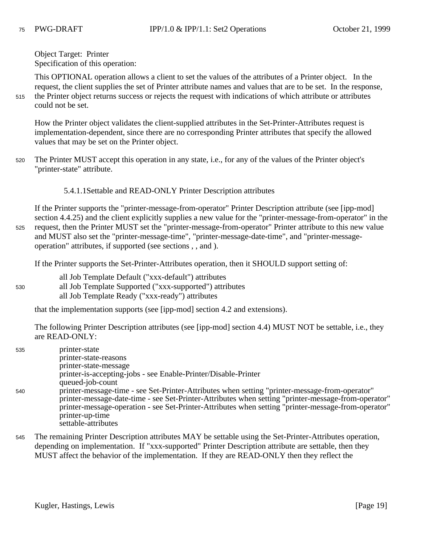Object Target: Printer Specification of this operation:

This OPTIONAL operation allows a client to set the values of the attributes of a Printer object. In the request, the client supplies the set of Printer attribute names and values that are to be set. In the response, the Printer object returns success or rejects the request with indications of which attribute or attributes could not be set. 515

How the Printer object validates the client-supplied attributes in the Set-Printer-Attributes request is implementation-dependent, since there are no corresponding Printer attributes that specify the allowed values that may be set on the Printer object.

- The Printer MUST accept this operation in any state, i.e., for any of the values of the Printer object's "printer-state" attribute. 520
	- 5.4.1.1Settable and READ-ONLY Printer Description attributes

If the Printer supports the "printer-message-from-operator" Printer Description attribute (see [ipp-mod] section 4.4.25) and the client explicitly supplies a new value for the "printer-message-from-operator" in the request, then the Printer MUST set the "printer-message-from-operator" Printer attribute to this new value and MUST also set the "printer-message-time", "printer-message-date-time", and "printer-messageoperation" attributes, if supported (see sections , , and ). 525

If the Printer supports the Set-Printer-Attributes operation, then it SHOULD support setting of:

- all Job Template Default ("xxx-default") attributes
- all Job Template Supported ("xxx-supported") attributes all Job Template Ready ("xxx-ready") attributes 530

that the implementation supports (see [ipp-mod] section 4.2 and extensions).

The following Printer Description attributes (see [ipp-mod] section 4.4) MUST NOT be settable, i.e., they are READ-ONLY:

| 535 | printer-state                                                                                                                                                                                                                                                                                                                                          |
|-----|--------------------------------------------------------------------------------------------------------------------------------------------------------------------------------------------------------------------------------------------------------------------------------------------------------------------------------------------------------|
|     | printer-state-reasons                                                                                                                                                                                                                                                                                                                                  |
|     | printer-state-message                                                                                                                                                                                                                                                                                                                                  |
|     | printer-is-accepting-jobs - see Enable-Printer/Disable-Printer                                                                                                                                                                                                                                                                                         |
|     | queued-job-count                                                                                                                                                                                                                                                                                                                                       |
| 540 | printer-message-time - see Set-Printer-Attributes when setting "printer-message-from-operator"<br>printer-message-date-time - see Set-Printer-Attributes when setting "printer-message-from-operator"<br>printer-message-operation - see Set-Printer-Attributes when setting "printer-message-from-operator"<br>printer-up-time<br>settable-attributes |

The remaining Printer Description attributes MAY be settable using the Set-Printer-Attributes operation, depending on implementation. If "xxx-supported" Printer Description attribute are settable, then they MUST affect the behavior of the implementation. If they are READ-ONLY then they reflect the 545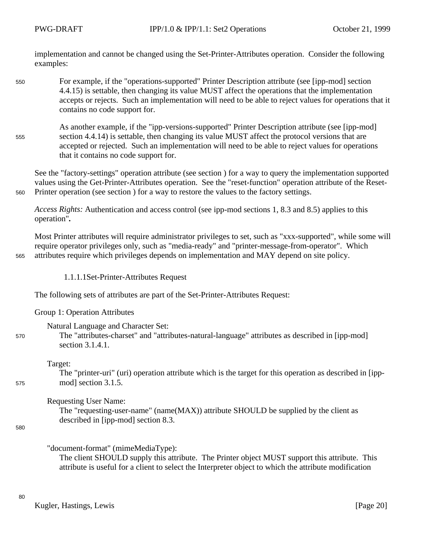implementation and cannot be changed using the Set-Printer-Attributes operation. Consider the following examples:

- For example, if the "operations-supported" Printer Description attribute (see [ipp-mod] section 4.4.15) is settable, then changing its value MUST affect the operations that the implementation accepts or rejects. Such an implementation will need to be able to reject values for operations that it contains no code support for. 550
- As another example, if the "ipp-versions-supported" Printer Description attribute (see [ipp-mod] section 4.4.14) is settable, then changing its value MUST affect the protocol versions that are accepted or rejected. Such an implementation will need to be able to reject values for operations that it contains no code support for. 555

See the "factory-settings" operation attribute (see section ) for a way to query the implementation supported values using the Get-Printer-Attributes operation. See the "reset-function" operation attribute of the Reset-Printer operation (see section ) for a way to restore the values to the factory settings.

*Access Rights:* Authentication and access control (see ipp-mod sections 1, 8.3 and 8.5) applies to this operation"*.*

Most Printer attributes will require administrator privileges to set, such as "xxx-supported", while some will require operator privileges only, such as "media-ready" and "printer-message-from-operator". Which attributes require which privileges depends on implementation and MAY depend on site policy.

1.1.1.1Set-Printer-Attributes Request

The following sets of attributes are part of the Set-Printer-Attributes Request:

Group 1: Operation Attributes

Natural Language and Character Set:

The "attributes-charset" and "attributes-natural-language" attributes as described in [ipp-mod] section 3.1.4.1.

Target:

The "printer-uri" (uri) operation attribute which is the target for this operation as described in [ippmod] section 3.1.5.

Requesting User Name:

The "requesting-user-name" (name(MAX)) attribute SHOULD be supplied by the client as described in [ipp-mod] section 8.3.

580

560

565

570

575

"document-format" (mimeMediaType):

The client SHOULD supply this attribute. The Printer object MUST support this attribute. This attribute is useful for a client to select the Interpreter object to which the attribute modification

Kugler, Hastings, Lewis [Page 20]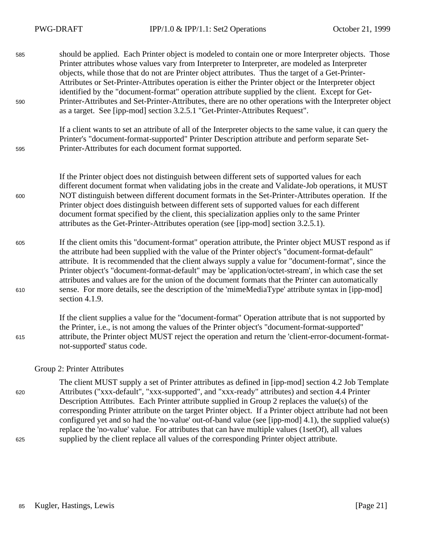| 585<br>590 | should be applied. Each Printer object is modeled to contain one or more Interpreter objects. Those<br>Printer attributes whose values vary from Interpreter to Interpreter, are modeled as Interpreter<br>objects, while those that do not are Printer object attributes. Thus the target of a Get-Printer-<br>Attributes or Set-Printer-Attributes operation is either the Printer object or the Interpreter object<br>identified by the "document-format" operation attribute supplied by the client. Except for Get-<br>Printer-Attributes and Set-Printer-Attributes, there are no other operations with the Interpreter object<br>as a target. See [ipp-mod] section 3.2.5.1 "Get-Printer-Attributes Request". |
|------------|----------------------------------------------------------------------------------------------------------------------------------------------------------------------------------------------------------------------------------------------------------------------------------------------------------------------------------------------------------------------------------------------------------------------------------------------------------------------------------------------------------------------------------------------------------------------------------------------------------------------------------------------------------------------------------------------------------------------|
| 595        | If a client wants to set an attribute of all of the Interpreter objects to the same value, it can query the<br>Printer's "document-format-supported" Printer Description attribute and perform separate Set-<br>Printer-Attributes for each document format supported.                                                                                                                                                                                                                                                                                                                                                                                                                                               |
| 600        | If the Printer object does not distinguish between different sets of supported values for each<br>different document format when validating jobs in the create and Validate-Job operations, it MUST<br>NOT distinguish between different document formats in the Set-Printer-Attributes operation. If the<br>Printer object does distinguish between different sets of supported values for each different<br>document format specified by the client, this specialization applies only to the same Printer<br>attributes as the Get-Printer-Attributes operation (see [ipp-mod] section 3.2.5.1).                                                                                                                   |
| 605<br>610 | If the client omits this "document-format" operation attribute, the Printer object MUST respond as if<br>the attribute had been supplied with the value of the Printer object's "document-format-default"<br>attribute. It is recommended that the client always supply a value for "document-format", since the<br>Printer object's "document-format-default" may be 'application/octet-stream', in which case the set<br>attributes and values are for the union of the document formats that the Printer can automatically<br>sense. For more details, see the description of the 'mimeMediaType' attribute syntax in [ipp-mod]<br>section 4.1.9.                                                                 |
| 615        | If the client supplies a value for the "document-format" Operation attribute that is not supported by<br>the Printer, i.e., is not among the values of the Printer object's "document-format-supported"<br>attribute, the Printer object MUST reject the operation and return the 'client-error-document-format-<br>not-supported' status code.                                                                                                                                                                                                                                                                                                                                                                      |

#### Group 2: Printer Attributes

The client MUST supply a set of Printer attributes as defined in [ipp-mod] section 4.2 Job Template Attributes ("xxx-default", "xxx-supported", and "xxx-ready" attributes) and section 4.4 Printer Description Attributes. Each Printer attribute supplied in Group 2 replaces the value(s) of the corresponding Printer attribute on the target Printer object. If a Printer object attribute had not been configured yet and so had the 'no-value' out-of-band value (see [ipp-mod] 4.1), the supplied value(s) replace the 'no-value' value. For attributes that can have multiple values (1setOf), all values supplied by the client replace all values of the corresponding Printer object attribute. 620

625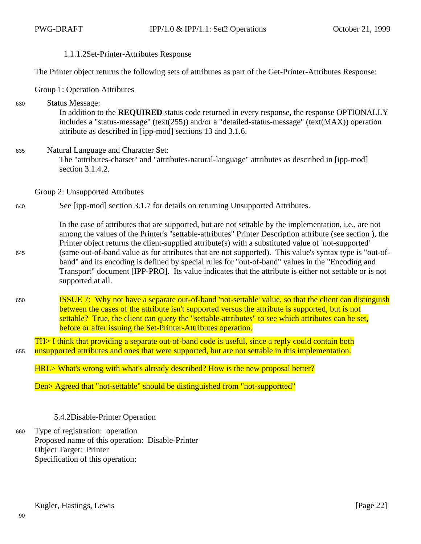### 1.1.1.2Set-Printer-Attributes Response

The Printer object returns the following sets of attributes as part of the Get-Printer-Attributes Response:

Group 1: Operation Attributes

| 630 | <b>Status Message:</b><br>In addition to the <b>REQUIRED</b> status code returned in every response, the response OPTIONALLY<br>includes a "status-message" (text(255)) and/or a "detailed-status-message" (text(MAX)) operation<br>attribute as described in [ipp-mod] sections 13 and 3.1.6.                                                                                                                                                                                                                                                                                                                                                                           |
|-----|--------------------------------------------------------------------------------------------------------------------------------------------------------------------------------------------------------------------------------------------------------------------------------------------------------------------------------------------------------------------------------------------------------------------------------------------------------------------------------------------------------------------------------------------------------------------------------------------------------------------------------------------------------------------------|
| 635 | Natural Language and Character Set:<br>The "attributes-charset" and "attributes-natural-language" attributes as described in [ipp-mod]<br>section 3.1.4.2.                                                                                                                                                                                                                                                                                                                                                                                                                                                                                                               |
|     | Group 2: Unsupported Attributes                                                                                                                                                                                                                                                                                                                                                                                                                                                                                                                                                                                                                                          |
| 640 | See [ipp-mod] section 3.1.7 for details on returning Unsupported Attributes.                                                                                                                                                                                                                                                                                                                                                                                                                                                                                                                                                                                             |
| 645 | In the case of attributes that are supported, but are not settable by the implementation, i.e., are not<br>among the values of the Printer's "settable-attributes" Printer Description attribute (see section), the<br>Printer object returns the client-supplied attribute(s) with a substituted value of 'not-supported'<br>(same out-of-band value as for attributes that are not supported). This value's syntax type is "out-of-<br>band" and its encoding is defined by special rules for "out-of-band" values in the "Encoding and<br>Transport" document [IPP-PRO]. Its value indicates that the attribute is either not settable or is not<br>supported at all. |
| 650 | <b>ISSUE 7:</b> Why not have a separate out-of-band 'not-settable' value, so that the client can distinguish<br>between the cases of the attribute isn't supported versus the attribute is supported, but is not<br>settable? True, the client can query the "settable-attributes" to see which attributes can be set,<br>before or after issuing the Set-Printer-Attributes operation.                                                                                                                                                                                                                                                                                  |
| 655 | TH> I think that providing a separate out-of-band code is useful, since a reply could contain both<br>unsupported attributes and ones that were supported, but are not settable in this implementation.                                                                                                                                                                                                                                                                                                                                                                                                                                                                  |
|     | HRL> What's wrong with what's already described? How is the new proposal better?                                                                                                                                                                                                                                                                                                                                                                                                                                                                                                                                                                                         |
|     | Den> Agreed that "not-settable" should be distinguished from "not-supportted"                                                                                                                                                                                                                                                                                                                                                                                                                                                                                                                                                                                            |

- 5.4.2Disable-Printer Operation
- Type of registration: operation Proposed name of this operation: Disable-Printer Object Target: Printer Specification of this operation: 660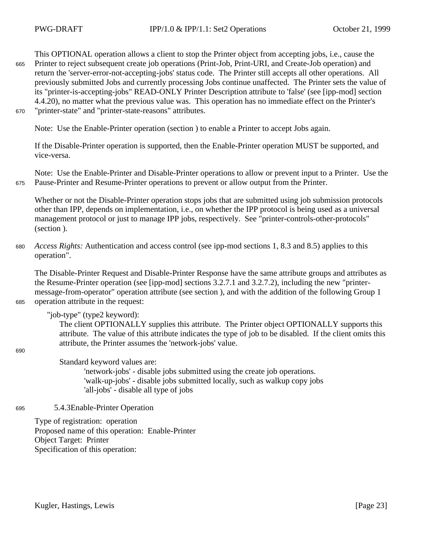This OPTIONAL operation allows a client to stop the Printer object from accepting jobs, i.e., cause the Printer to reject subsequent create job operations (Print-Job, Print-URI, and Create-Job operation) and return the 'server-error-not-accepting-jobs' status code. The Printer still accepts all other operations. All previously submitted Jobs and currently processing Jobs continue unaffected. The Printer sets the value of its "printer-is-accepting-jobs" READ-ONLY Printer Description attribute to 'false' (see [ipp-mod] section 4.4.20), no matter what the previous value was. This operation has no immediate effect on the Printer's "printer-state" and "printer-state-reasons" attributes. 665 670

Note: Use the Enable-Printer operation (section ) to enable a Printer to accept Jobs again.

If the Disable-Printer operation is supported, then the Enable-Printer operation MUST be supported, and vice-versa.

Note: Use the Enable-Printer and Disable-Printer operations to allow or prevent input to a Printer. Use the Pause-Printer and Resume-Printer operations to prevent or allow output from the Printer. 675

Whether or not the Disable-Printer operation stops jobs that are submitted using job submission protocols other than IPP, depends on implementation, i.e., on whether the IPP protocol is being used as a universal management protocol or just to manage IPP jobs, respectively. See "printer-controls-other-protocols" (section ).

*Access Rights:* Authentication and access control (see ipp-mod sections 1, 8.3 and 8.5) applies to this operation". 680

The Disable-Printer Request and Disable-Printer Response have the same attribute groups and attributes as the Resume-Printer operation (see [ipp-mod] sections 3.2.7.1 and 3.2.7.2), including the new "printermessage-from-operator" operation attribute (see section ), and with the addition of the following Group 1 operation attribute in the request:

"job-type" (type2 keyword):

The client OPTIONALLY supplies this attribute. The Printer object OPTIONALLY supports this attribute. The value of this attribute indicates the type of job to be disabled. If the client omits this attribute, the Printer assumes the 'network-jobs' value.

690

685

Standard keyword values are:

'network-jobs' - disable jobs submitted using the create job operations. 'walk-up-jobs' - disable jobs submitted locally, such as walkup copy jobs 'all-jobs' - disable all type of jobs

5.4.3Enable-Printer Operation 695

> Type of registration: operation Proposed name of this operation: Enable-Printer Object Target: Printer Specification of this operation: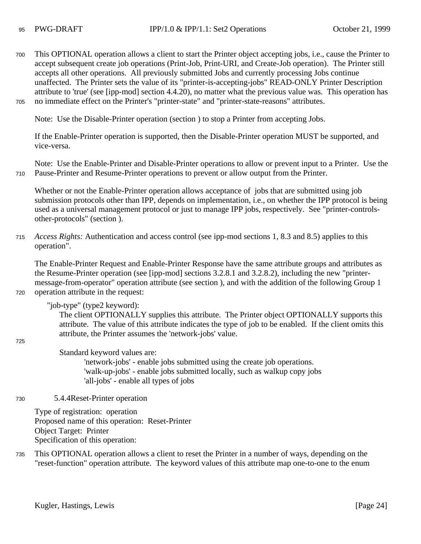#### 95

This OPTIONAL operation allows a client to start the Printer object accepting jobs, i.e., cause the Printer to accept subsequent create job operations (Print-Job, Print-URI, and Create-Job operation). The Printer still accepts all other operations. All previously submitted Jobs and currently processing Jobs continue unaffected. The Printer sets the value of its "printer-is-accepting-jobs" READ-ONLY Printer Description attribute to 'true' (see [ipp-mod] section 4.4.20), no matter what the previous value was. This operation has no immediate effect on the Printer's "printer-state" and "printer-state-reasons" attributes. 700 705

Note: Use the Disable-Printer operation (section ) to stop a Printer from accepting Jobs.

If the Enable-Printer operation is supported, then the Disable-Printer operation MUST be supported, and vice-versa.

Note: Use the Enable-Printer and Disable-Printer operations to allow or prevent input to a Printer. Use the Pause-Printer and Resume-Printer operations to prevent or allow output from the Printer.

Whether or not the Enable-Printer operation allows acceptance of jobs that are submitted using job submission protocols other than IPP, depends on implementation, i.e., on whether the IPP protocol is being used as a universal management protocol or just to manage IPP jobs, respectively. See "printer-controlsother-protocols" (section ).

*Access Rights:* Authentication and access control (see ipp-mod sections 1, 8.3 and 8.5) applies to this operation". 715

The Enable-Printer Request and Enable-Printer Response have the same attribute groups and attributes as the Resume-Printer operation (see [ipp-mod] sections 3.2.8.1 and 3.2.8.2), including the new "printermessage-from-operator" operation attribute (see section ), and with the addition of the following Group 1 operation attribute in the request:

"job-type" (type2 keyword):

The client OPTIONALLY supplies this attribute. The Printer object OPTIONALLY supports this attribute. The value of this attribute indicates the type of job to be enabled. If the client omits this attribute, the Printer assumes the 'network-jobs' value.

725

720

710

Standard keyword values are:

'network-jobs' - enable jobs submitted using the create job operations. 'walk-up-jobs' - enable jobs submitted locally, such as walkup copy jobs 'all-jobs' - enable all types of jobs

5.4.4Reset-Printer operation 730

> Type of registration: operation Proposed name of this operation: Reset-Printer Object Target: Printer Specification of this operation:

This OPTIONAL operation allows a client to reset the Printer in a number of ways, depending on the "reset-function" operation attribute. The keyword values of this attribute map one-to-one to the enum 735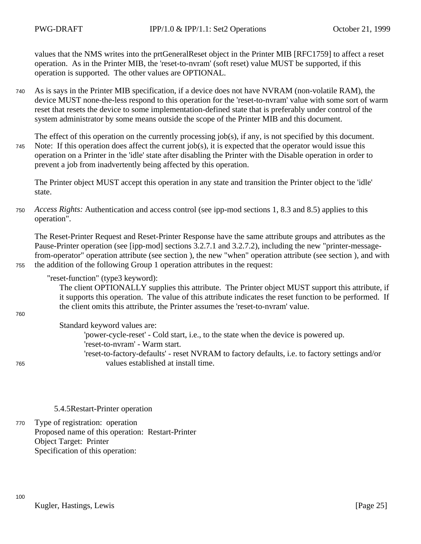values that the NMS writes into the prtGeneralReset object in the Printer MIB [RFC1759] to affect a reset operation. As in the Printer MIB, the 'reset-to-nvram' (soft reset) value MUST be supported, if this operation is supported. The other values are OPTIONAL.

As is says in the Printer MIB specification, if a device does not have NVRAM (non-volatile RAM), the device MUST none-the-less respond to this operation for the 'reset-to-nvram' value with some sort of warm reset that resets the device to some implementation-defined state that is preferably under control of the system administrator by some means outside the scope of the Printer MIB and this document. 740

The effect of this operation on the currently processing job(s), if any, is not specified by this document. Note: If this operation does affect the current job(s), it is expected that the operator would issue this operation on a Printer in the 'idle' state after disabling the Printer with the Disable operation in order to prevent a job from inadvertently being affected by this operation. 745

The Printer object MUST accept this operation in any state and transition the Printer object to the 'idle' state.

*Access Rights:* Authentication and access control (see ipp-mod sections 1, 8.3 and 8.5) applies to this operation". 750

The Reset-Printer Request and Reset-Printer Response have the same attribute groups and attributes as the Pause-Printer operation (see [ipp-mod] sections 3.2.7.1 and 3.2.7.2), including the new "printer-messagefrom-operator" operation attribute (see section ), the new "when" operation attribute (see section ), and with the addition of the following Group 1 operation attributes in the request:

"reset-function" (type3 keyword):

The client OPTIONALLY supplies this attribute. The Printer object MUST support this attribute, if it supports this operation. The value of this attribute indicates the reset function to be performed. If the client omits this attribute, the Printer assumes the 'reset-to-nvram' value.

760

755

## Standard keyword values are:

'power-cycle-reset' - Cold start, i.e., to the state when the device is powered up. 'reset-to-nvram' - Warm start. 'reset-to-factory-defaults' - reset NVRAM to factory defaults, i.e. to factory settings and/or

765

100

values established at install time.

### 5.4.5Restart-Printer operation

Type of registration: operation Proposed name of this operation: Restart-Printer Object Target: Printer Specification of this operation: 770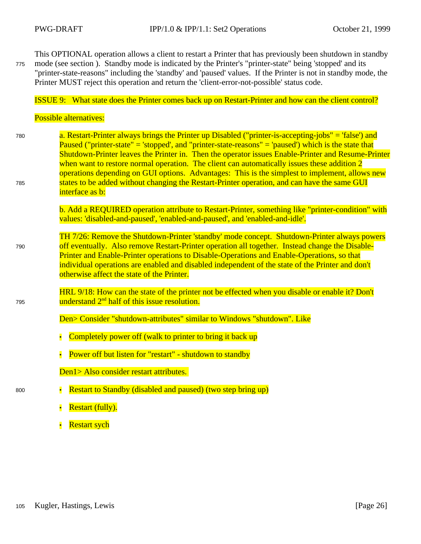This OPTIONAL operation allows a client to restart a Printer that has previously been shutdown in standby mode (see section ). Standby mode is indicated by the Printer's "printer-state" being 'stopped' and its "printer-state-reasons" including the 'standby' and 'paused' values. If the Printer is not in standby mode, the Printer MUST reject this operation and return the 'client-error-not-possible' status code. 775

ISSUE 9: What state does the Printer comes back up on Restart-Printer and how can the client control?

Possible alternatives:

790

795

800

a. Restart-Printer always brings the Printer up Disabled ("printer-is-accepting-jobs" = 'false') and Paused ("printer-state" = 'stopped', and "printer-state-reasons" = 'paused') which is the state that Shutdown-Printer leaves the Printer in. Then the operator issues Enable-Printer and Resume-Printer when want to restore normal operation. The client can automatically issues these addition 2 operations depending on GUI options. Advantages: This is the simplest to implement, allows new states to be added without changing the Restart-Printer operation, and can have the same GUI interface as b: 780 785

> b. Add a REQUIRED operation attribute to Restart-Printer, something like "printer-condition" with values: 'disabled-and-paused', 'enabled-and-paused', and 'enabled-and-idle'.

TH 7/26: Remove the Shutdown-Printer 'standby' mode concept. Shutdown-Printer always powers off eventually. Also remove Restart-Printer operation all together. Instead change the Disable-Printer and Enable-Printer operations to Disable-Operations and Enable-Operations, so that individual operations are enabled and disabled independent of the state of the Printer and don't otherwise affect the state of the Printer.

HRL 9/18: How can the state of the printer not be effected when you disable or enable it? Don't understand 2<sup>nd</sup> half of this issue resolution.

Den> Consider "shutdown-attributes" similar to Windows "shutdown". Like

- $\cdot$  Completely power off (walk to printer to bring it back up
- Power off but listen for "restart" shutdown to standby

Den1> Also consider restart attributes.

- Restart to Standby (disabled and paused) (two step bring up)
	- Restart (fully).
	- Restart sych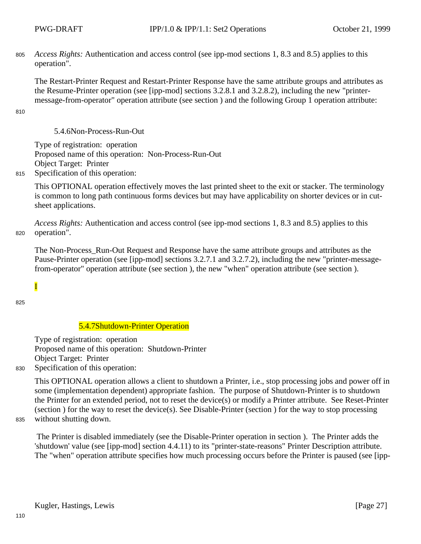*Access Rights:* Authentication and access control (see ipp-mod sections 1, 8.3 and 8.5) applies to this operation". 805

The Restart-Printer Request and Restart-Printer Response have the same attribute groups and attributes as the Resume-Printer operation (see [ipp-mod] sections 3.2.8.1 and 3.2.8.2), including the new "printermessage-from-operator" operation attribute (see section ) and the following Group 1 operation attribute:

810

5.4.6Non-Process-Run-Out

Type of registration: operation Proposed name of this operation: Non-Process-Run-Out Object Target: Printer

Specification of this operation: 815

> This OPTIONAL operation effectively moves the last printed sheet to the exit or stacker. The terminology is common to long path continuous forms devices but may have applicability on shorter devices or in cutsheet applications.

*Access Rights:* Authentication and access control (see ipp-mod sections 1, 8.3 and 8.5) applies to this operation". 820

The Non-Process\_Run-Out Request and Response have the same attribute groups and attributes as the Pause-Printer operation (see [ipp-mod] sections 3.2.7.1 and 3.2.7.2), including the new "printer-messagefrom-operator" operation attribute (see section ), the new "when" operation attribute (see section ).

825

I

## 5.4.7Shutdown-Printer Operation

Type of registration: operation Proposed name of this operation: Shutdown-Printer Object Target: Printer

Specification of this operation: 830

> This OPTIONAL operation allows a client to shutdown a Printer, i.e., stop processing jobs and power off in some (implementation dependent) appropriate fashion. The purpose of Shutdown-Printer is to shutdown the Printer for an extended period, not to reset the device(s) or modify a Printer attribute. See Reset-Printer (section ) for the way to reset the device(s). See Disable-Printer (section ) for the way to stop processing without shutting down.

835

 The Printer is disabled immediately (see the Disable-Printer operation in section ). The Printer adds the 'shutdown' value (see [ipp-mod] section 4.4.11) to its "printer-state-reasons" Printer Description attribute. The "when" operation attribute specifies how much processing occurs before the Printer is paused (see [ipp-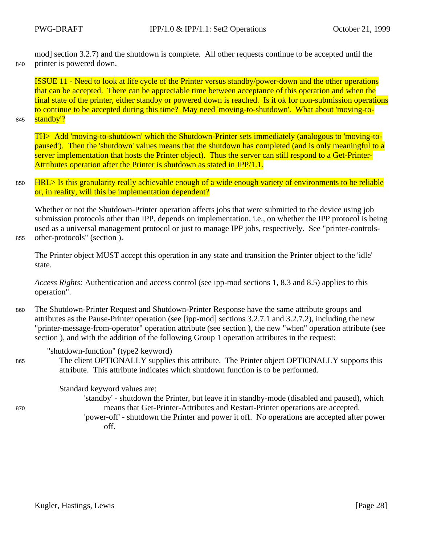mod] section 3.2.7) and the shutdown is complete. All other requests continue to be accepted until the printer is powered down. 840

ISSUE 11 - Need to look at life cycle of the Printer versus standby/power-down and the other operations that can be accepted. There can be appreciable time between acceptance of this operation and when the final state of the printer, either standby or powered down is reached. Is it ok for non-submission operations to continue to be accepted during this time? May need 'moving-to-shutdown'. What about 'moving-tostandby'?

845

870

TH> Add 'moving-to-shutdown' which the Shutdown-Printer sets immediately (analogous to 'moving-topaused'). Then the 'shutdown' values means that the shutdown has completed (and is only meaningful to a server implementation that hosts the Printer object). Thus the server can still respond to a Get-Printer-Attributes operation after the Printer is shutdown as stated in IPP/1.1.

HRL> Is this granularity really achievable enough of a wide enough variety of environments to be reliable or, in reality, will this be implementation dependent? 850

Whether or not the Shutdown-Printer operation affects jobs that were submitted to the device using job submission protocols other than IPP, depends on implementation, i.e., on whether the IPP protocol is being used as a universal management protocol or just to manage IPP jobs, respectively. See "printer-controlsother-protocols" (section ).

855

The Printer object MUST accept this operation in any state and transition the Printer object to the 'idle' state.

*Access Rights:* Authentication and access control (see ipp-mod sections 1, 8.3 and 8.5) applies to this operation".

- The Shutdown-Printer Request and Shutdown-Printer Response have the same attribute groups and attributes as the Pause-Printer operation (see [ipp-mod] sections 3.2.7.1 and 3.2.7.2), including the new "printer-message-from-operator" operation attribute (see section ), the new "when" operation attribute (see section ), and with the addition of the following Group 1 operation attributes in the request: 860
	- "shutdown-function" (type2 keyword)
- The client OPTIONALLY supplies this attribute. The Printer object OPTIONALLY supports this attribute. This attribute indicates which shutdown function is to be performed. 865

Standard keyword values are:

- 'standby' shutdown the Printer, but leave it in standby-mode (disabled and paused), which means that Get-Printer-Attributes and Restart-Printer operations are accepted.
- 'power-off' shutdown the Printer and power it off. No operations are accepted after power off.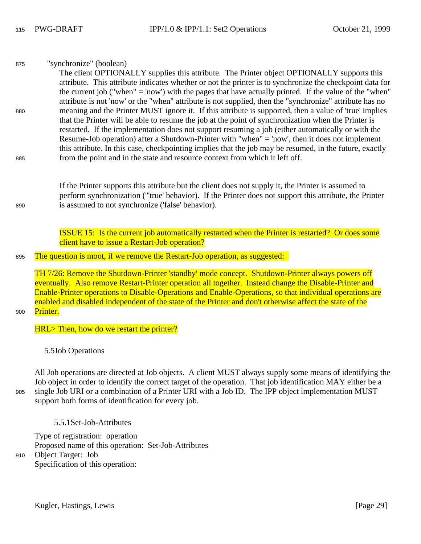| 875 | "synchronize" (boolean)                                                                                  |
|-----|----------------------------------------------------------------------------------------------------------|
|     | The client OPTIONALLY supplies this attribute. The Printer object OPTIONALLY supports this               |
|     | attribute. This attribute indicates whether or not the printer is to synchronize the checkpoint data for |
|     | the current job ("when" = 'now') with the pages that have actually printed. If the value of the "when"   |
|     | attribute is not 'now' or the "when" attribute is not supplied, then the "synchronize" attribute has no  |
| 880 | meaning and the Printer MUST ignore it. If this attribute is supported, then a value of 'true' implies   |
|     | that the Printer will be able to resume the job at the point of synchronization when the Printer is      |
|     | restarted. If the implementation does not support resuming a job (either automatically or with the       |
|     | Resume-Job operation) after a Shutdown-Printer with "when" = 'now', then it does not implement           |
|     | this attribute. In this case, checkpointing implies that the job may be resumed, in the future, exactly  |
| 885 | from the point and in the state and resource context from which it left off.                             |

If the Printer supports this attribute but the client does not supply it, the Printer is assumed to perform synchronization ('''true' behavior). If the Printer does not support this attribute, the Printer is assumed to not synchronize ('false' behavior).

ISSUE 15: Is the current job automatically restarted when the Printer is restarted? Or does some client have to issue a Restart-Job operation?

The question is moot, if we remove the Restart-Job operation, as suggested: 895

TH 7/26: Remove the Shutdown-Printer 'standby' mode concept. Shutdown-Printer always powers off eventually. Also remove Restart-Printer operation all together. Instead change the Disable-Printer and Enable-Printer operations to Disable-Operations and Enable-Operations, so that individual operations are enabled and disabled independent of the state of the Printer and don't otherwise affect the state of the Printer.

#### 900

890

HRL> Then, how do we restart the printer?

5.5Job Operations

All Job operations are directed at Job objects. A client MUST always supply some means of identifying the Job object in order to identify the correct target of the operation. That job identification MAY either be a single Job URI or a combination of a Printer URI with a Job ID. The IPP object implementation MUST support both forms of identification for every job. 905

5.5.1Set-Job-Attributes

Type of registration: operation Proposed name of this operation: Set-Job-Attributes Object Target: Job Specification of this operation: 910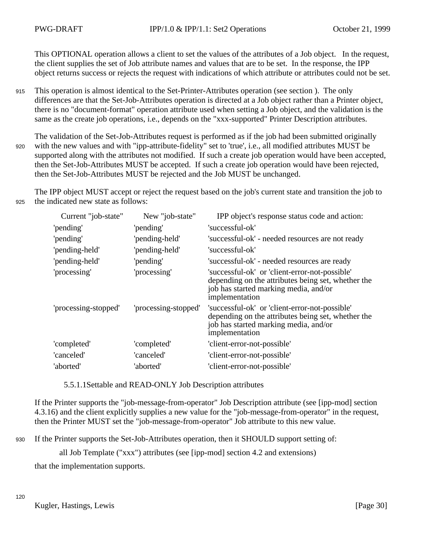This OPTIONAL operation allows a client to set the values of the attributes of a Job object. In the request, the client supplies the set of Job attribute names and values that are to be set. In the response, the IPP object returns success or rejects the request with indications of which attribute or attributes could not be set.

- This operation is almost identical to the Set-Printer-Attributes operation (see section ). The only differences are that the Set-Job-Attributes operation is directed at a Job object rather than a Printer object, there is no "document-format" operation attribute used when setting a Job object, and the validation is the same as the create job operations, i.e., depends on the "xxx-supported" Printer Description attributes. 915
- The validation of the Set-Job-Attributes request is performed as if the job had been submitted originally with the new values and with "ipp-attribute-fidelity" set to 'true', i.e., all modified attributes MUST be supported along with the attributes not modified. If such a create job operation would have been accepted, then the Set-Job-Attributes MUST be accepted. If such a create job operation would have been rejected, then the Set-Job-Attributes MUST be rejected and the Job MUST be unchanged. 920

The IPP object MUST accept or reject the request based on the job's current state and transition the job to the indicated new state as follows: 925

| Current "job-state"  | New "job-state"      | IPP object's response status code and action:                                                                                                                   |
|----------------------|----------------------|-----------------------------------------------------------------------------------------------------------------------------------------------------------------|
| 'pending'            | 'pending'            | 'successful-ok'                                                                                                                                                 |
| 'pending'            | 'pending-held'       | 'successful-ok' - needed resources are not ready                                                                                                                |
| 'pending-held'       | 'pending-held'       | 'successful-ok'                                                                                                                                                 |
| 'pending-held'       | 'pending'            | 'successful-ok' - needed resources are ready                                                                                                                    |
| 'processing'         | 'processing'         | 'successful-ok' or 'client-error-not-possible'<br>depending on the attributes being set, whether the<br>job has started marking media, and/or<br>implementation |
| 'processing-stopped' | 'processing-stopped' | 'successful-ok' or 'client-error-not-possible'<br>depending on the attributes being set, whether the<br>job has started marking media, and/or<br>implementation |
| 'completed'          | 'completed'          | 'client-error-not-possible'                                                                                                                                     |
| 'canceled'           | 'canceled'           | 'client-error-not-possible'                                                                                                                                     |
| 'aborted'            | 'aborted'            | 'client-error-not-possible'                                                                                                                                     |

5.5.1.1Settable and READ-ONLY Job Description attributes

If the Printer supports the "job-message-from-operator" Job Description attribute (see [ipp-mod] section 4.3.16) and the client explicitly supplies a new value for the "job-message-from-operator" in the request, then the Printer MUST set the "job-message-from-operator" Job attribute to this new value.

If the Printer supports the Set-Job-Attributes operation, then it SHOULD support setting of: 930

all Job Template ("xxx") attributes (see [ipp-mod] section 4.2 and extensions)

that the implementation supports.

120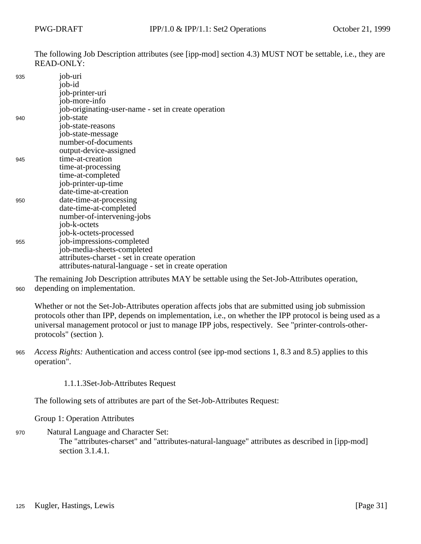The following Job Description attributes (see [ipp-mod] section 4.3) MUST NOT be settable, i.e., they are READ-ONLY:

| 935 | job-uri                                               |
|-----|-------------------------------------------------------|
|     | job-id                                                |
|     | job-printer-uri                                       |
|     | job-more-info                                         |
|     | job-originating-user-name - set in create operation   |
| 940 | job-state                                             |
|     | job-state-reasons                                     |
|     | job-state-message                                     |
|     | number-of-documents                                   |
|     | output-device-assigned                                |
| 945 | time-at-creation                                      |
|     | time-at-processing                                    |
|     | time-at-completed                                     |
|     | job-printer-up-time                                   |
|     | date-time-at-creation                                 |
| 950 | date-time-at-processing                               |
|     | date-time-at-completed                                |
|     | number-of-intervening-jobs                            |
|     | job-k-octets                                          |
|     | job-k-octets-processed                                |
| 955 | job-impressions-completed                             |
|     | job-media-sheets-completed                            |
|     | attributes-charset - set in create operation          |
|     | attributes-natural-language - set in create operation |

The remaining Job Description attributes MAY be settable using the Set-Job-Attributes operation, depending on implementation. 960

Whether or not the Set-Job-Attributes operation affects jobs that are submitted using job submission protocols other than IPP, depends on implementation, i.e., on whether the IPP protocol is being used as a universal management protocol or just to manage IPP jobs, respectively. See "printer-controls-otherprotocols" (section ).

- *Access Rights:* Authentication and access control (see ipp-mod sections 1, 8.3 and 8.5) applies to this operation". 965
	- 1.1.1.3Set-Job-Attributes Request

The following sets of attributes are part of the Set-Job-Attributes Request:

Group 1: Operation Attributes

Natural Language and Character Set: The "attributes-charset" and "attributes-natural-language" attributes as described in [ipp-mod] section 3.1.4.1. 970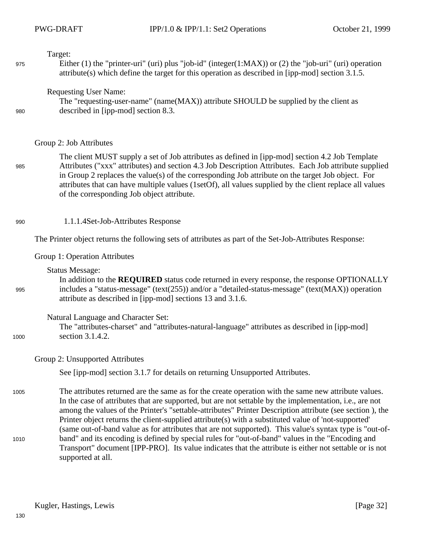Target:

975

980

985

995

1000

Either (1) the "printer-uri" (uri) plus "job-id" (integer(1:MAX)) or (2) the "job-uri" (uri) operation attribute(s) which define the target for this operation as described in [ipp-mod] section 3.1.5.

Requesting User Name:

The "requesting-user-name" (name(MAX)) attribute SHOULD be supplied by the client as described in [ipp-mod] section 8.3.

### Group 2: Job Attributes

The client MUST supply a set of Job attributes as defined in [ipp-mod] section 4.2 Job Template Attributes ("xxx" attributes) and section 4.3 Job Description Attributes. Each Job attribute supplied in Group 2 replaces the value(s) of the corresponding Job attribute on the target Job object. For attributes that can have multiple values (1setOf), all values supplied by the client replace all values of the corresponding Job object attribute.

1.1.1.4Set-Job-Attributes Response 990

The Printer object returns the following sets of attributes as part of the Set-Job-Attributes Response:

#### Group 1: Operation Attributes

Status Message:

In addition to the **REQUIRED** status code returned in every response, the response OPTIONALLY includes a "status-message" (text(255)) and/or a "detailed-status-message" (text(MAX)) operation attribute as described in [ipp-mod] sections 13 and 3.1.6.

#### Natural Language and Character Set:

The "attributes-charset" and "attributes-natural-language" attributes as described in [ipp-mod] section 3.1.4.2.

### Group 2: Unsupported Attributes

See [ipp-mod] section 3.1.7 for details on returning Unsupported Attributes.

The attributes returned are the same as for the create operation with the same new attribute values. In the case of attributes that are supported, but are not settable by the implementation, i.e., are not among the values of the Printer's "settable-attributes" Printer Description attribute (see section ), the Printer object returns the client-supplied attribute(s) with a substituted value of 'not-supported' (same out-of-band value as for attributes that are not supported). This value's syntax type is "out-ofband" and its encoding is defined by special rules for "out-of-band" values in the "Encoding and Transport" document [IPP-PRO]. Its value indicates that the attribute is either not settable or is not supported at all. 1005 1010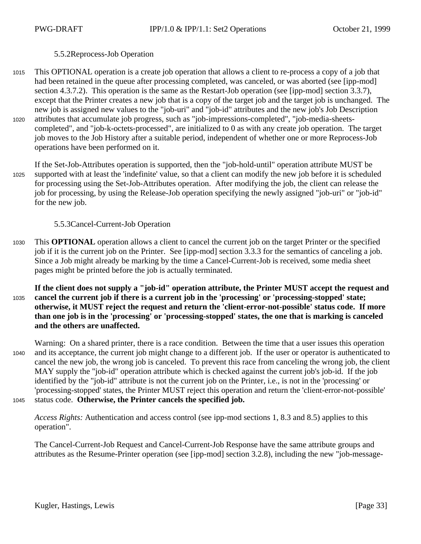## 5.5.2Reprocess-Job Operation

This OPTIONAL operation is a create job operation that allows a client to re-process a copy of a job that had been retained in the queue after processing completed, was canceled, or was aborted (see [ipp-mod] section 4.3.7.2). This operation is the same as the Restart-Job operation (see [ipp-mod] section 3.3.7), except that the Printer creates a new job that is a copy of the target job and the target job is unchanged. The new job is assigned new values to the "job-uri" and "job-id" attributes and the new job's Job Description attributes that accumulate job progress, such as "job-impressions-completed", "job-media-sheetscompleted", and "job-k-octets-processed", are initialized to 0 as with any create job operation. The target job moves to the Job History after a suitable period, independent of whether one or more Reprocess-Job operations have been performed on it. 1015 1020

If the Set-Job-Attributes operation is supported, then the "job-hold-until" operation attribute MUST be supported with at least the 'indefinite' value, so that a client can modify the new job before it is scheduled for processing using the Set-Job-Attributes operation. After modifying the job, the client can release the job for processing, by using the Release-Job operation specifying the newly assigned "job-uri" or "job-id" for the new job. 1025

5.5.3Cancel-Current-Job Operation

This **OPTIONAL** operation allows a client to cancel the current job on the target Printer or the specified job if it is the current job on the Printer. See [ipp-mod] section 3.3.3 for the semantics of canceling a job. Since a Job might already be marking by the time a Cancel-Current-Job is received, some media sheet pages might be printed before the job is actually terminated. 1030

**If the client does not supply a "job-id" operation attribute, the Printer MUST accept the request and cancel the current job if there is a current job in the 'processing' or 'processing-stopped' state; otherwise, it MUST reject the request and return the 'client-error-not-possible' status code. If more than one job is in the 'processing' or 'processing-stopped' states, the one that is marking is canceled and the others are unaffected.** 1035

Warning: On a shared printer, there is a race condition. Between the time that a user issues this operation and its acceptance, the current job might change to a different job. If the user or operator is authenticated to cancel the new job, the wrong job is canceled. To prevent this race from canceling the wrong job, the client MAY supply the "job-id" operation attribute which is checked against the current job's job-id. If the job identified by the "job-id" attribute is not the current job on the Printer, i.e., is not in the 'processing' or 'processing-stopped' states, the Printer MUST reject this operation and return the 'client-error-not-possible' status code. **Otherwise, the Printer cancels the specified job.** 1040 1045

*Access Rights:* Authentication and access control (see ipp-mod sections 1, 8.3 and 8.5) applies to this operation".

The Cancel-Current-Job Request and Cancel-Current-Job Response have the same attribute groups and attributes as the Resume-Printer operation (see [ipp-mod] section 3.2.8), including the new "job-message-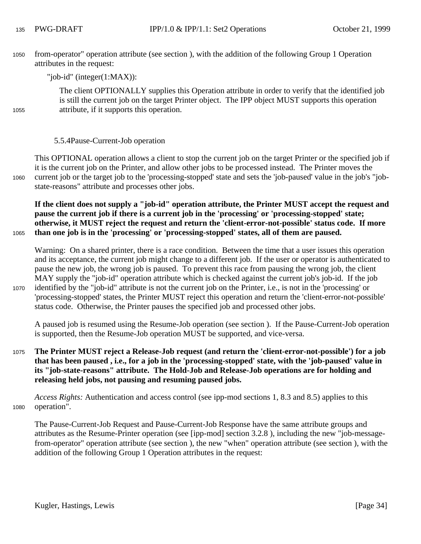from-operator" operation attribute (see section ), with the addition of the following Group 1 Operation attributes in the request: 1050

"job-id" (integer(1:MAX)):

The client OPTIONALLY supplies this Operation attribute in order to verify that the identified job is still the current job on the target Printer object. The IPP object MUST supports this operation attribute, if it supports this operation.

### 5.5.4Pause-Current-Job operation

1060

1065

1055

This OPTIONAL operation allows a client to stop the current job on the target Printer or the specified job if it is the current job on the Printer, and allow other jobs to be processed instead. The Printer moves the current job or the target job to the 'processing-stopped' state and sets the 'job-paused' value in the job's "jobstate-reasons" attribute and processes other jobs.

**If the client does not supply a "job-id" operation attribute, the Printer MUST accept the request and pause the current job if there is a current job in the 'processing' or 'processing-stopped' state; otherwise, it MUST reject the request and return the 'client-error-not-possible' status code. If more than one job is in the 'processing' or 'processing-stopped' states, all of them are paused.**

Warning: On a shared printer, there is a race condition. Between the time that a user issues this operation

and its acceptance, the current job might change to a different job. If the user or operator is authenticated to pause the new job, the wrong job is paused. To prevent this race from pausing the wrong job, the client

MAY supply the "job-id" operation attribute which is checked against the current job's job-id. If the job identified by the "job-id" attribute is not the current job on the Printer, i.e., is not in the 'processing' or 'processing-stopped' states, the Printer MUST reject this operation and return the 'client-error-not-possible' status code. Otherwise, the Printer pauses the specified job and processed other jobs. 1070

A paused job is resumed using the Resume-Job operation (see section ). If the Pause-Current-Job operation is supported, then the Resume-Job operation MUST be supported, and vice-versa.

**The Printer MUST reject a Release-Job request (and return the 'client-error-not-possible') for a job that has been paused , i.e., for a job in the 'processing-stopped' state, with the 'job-paused' value in its "job-state-reasons" attribute. The Hold-Job and Release-Job operations are for holding and releasing held jobs, not pausing and resuming paused jobs.** 1075

*Access Rights:* Authentication and access control (see ipp-mod sections 1, 8.3 and 8.5) applies to this operation". 1080

The Pause-Current-Job Request and Pause-Current-Job Response have the same attribute groups and attributes as the Resume-Printer operation (see [ipp-mod] section 3.2.8 ), including the new "job-messagefrom-operator" operation attribute (see section ), the new "when" operation attribute (see section ), with the addition of the following Group 1 Operation attributes in the request: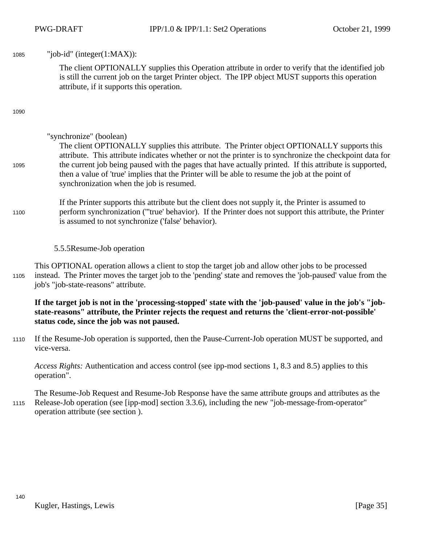"job-id" (integer(1:MAX)):

The client OPTIONALLY supplies this Operation attribute in order to verify that the identified job is still the current job on the target Printer object. The IPP object MUST supports this operation attribute, if it supports this operation.

1090

1085

## "synchronize" (boolean)

#### The client OPTIONALLY supplies this attribute. The Printer object OPTIONALLY supports this attribute. This attribute indicates whether or not the printer is to synchronize the checkpoint data for the current job being paused with the pages that have actually printed. If this attribute is supported, then a value of 'true' implies that the Printer will be able to resume the job at the point of synchronization when the job is resumed. 1095

If the Printer supports this attribute but the client does not supply it, the Printer is assumed to perform synchronization ('''true' behavior). If the Printer does not support this attribute, the Printer is assumed to not synchronize ('false' behavior). 1100

## 5.5.5Resume-Job operation

This OPTIONAL operation allows a client to stop the target job and allow other jobs to be processed instead. The Printer moves the target job to the 'pending' state and removes the 'job-paused' value from the job's "job-state-reasons" attribute. 1105

**If the target job is not in the 'processing-stopped' state with the 'job-paused' value in the job's "jobstate-reasons" attribute, the Printer rejects the request and returns the 'client-error-not-possible' status code, since the job was not paused.**

If the Resume-Job operation is supported, then the Pause-Current-Job operation MUST be supported, and vice-versa. 1110

*Access Rights:* Authentication and access control (see ipp-mod sections 1, 8.3 and 8.5) applies to this operation".

The Resume-Job Request and Resume-Job Response have the same attribute groups and attributes as the Release-Job operation (see [ipp-mod] section 3.3.6), including the new "job-message-from-operator" operation attribute (see section ). 1115

140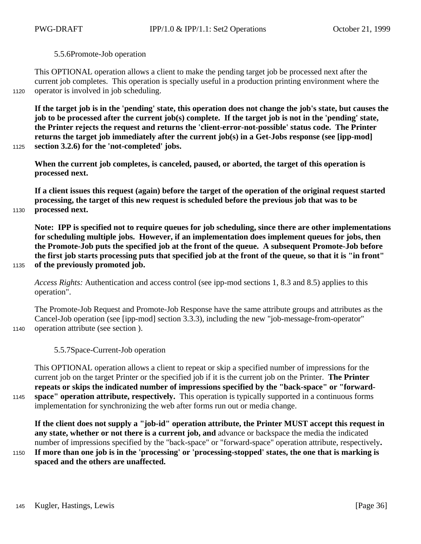### 5.5.6Promote-Job operation

This OPTIONAL operation allows a client to make the pending target job be processed next after the current job completes. This operation is specially useful in a production printing environment where the operator is involved in job scheduling.

1120

**If the target job is in the 'pending' state, this operation does not change the job's state, but causes the job to be processed after the current job(s) complete. If the target job is not in the 'pending' state, the Printer rejects the request and returns the 'client-error-not-possible' status code. The Printer returns the target job immediately after the current job(s) in a Get-Jobs response (see [ipp-mod] section 3.2.6) for the 'not-completed' jobs.**

1125

1130

1135

**When the current job completes, is canceled, paused, or aborted, the target of this operation is processed next.**

**If a client issues this request (again) before the target of the operation of the original request started processing, the target of this new request is scheduled before the previous job that was to be processed next.** 

**Note: IPP is specified not to require queues for job scheduling, since there are other implementations for scheduling multiple jobs. However, if an implementation does implement queues for jobs, then the Promote-Job puts the specified job at the front of the queue. A subsequent Promote-Job before the first job starts processing puts that specified job at the front of the queue, so that it is "in front" of the previously promoted job.**

*Access Rights:* Authentication and access control (see ipp-mod sections 1, 8.3 and 8.5) applies to this operation".

The Promote-Job Request and Promote-Job Response have the same attribute groups and attributes as the Cancel-Job operation (see [ipp-mod] section 3.3.3), including the new "job-message-from-operator" operation attribute (see section ).

1140

5.5.7Space-Current-Job operation

This OPTIONAL operation allows a client to repeat or skip a specified number of impressions for the current job on the target Printer or the specified job if it is the current job on the Printer. **The Printer repeats or skips the indicated number of impressions specified by the "back-space" or "forwardspace" operation attribute, respectively.** This operation is typically supported in a continuous forms implementation for synchronizing the web after forms run out or media change. 1145

**If the client does not supply a "job-id" operation attribute, the Printer MUST accept this request in any state, whether or not there is a current job, and** advance or backspace the media the indicated number of impressions specified by the "back-space" or "forward-space" operation attribute, respectively**.**

**If more than one job is in the 'processing' or 'processing-stopped' states, the one that is marking is spaced and the others are unaffected.** 1150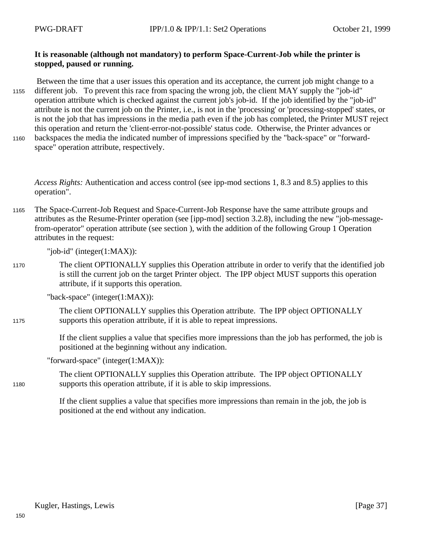## **It is reasonable (although not mandatory) to perform Space-Current-Job while the printer is stopped, paused or running.**

 Between the time that a user issues this operation and its acceptance, the current job might change to a different job. To prevent this race from spacing the wrong job, the client MAY supply the "job-id" operation attribute which is checked against the current job's job-id. If the job identified by the "job-id" attribute is not the current job on the Printer, i.e., is not in the 'processing' or 'processing-stopped' states, or is not the job that has impressions in the media path even if the job has completed, the Printer MUST reject this operation and return the 'client-error-not-possible' status code. Otherwise, the Printer advances or backspaces the media the indicated number of impressions specified by the "back-space" or "forwardspace" operation attribute, respectively. 1155 1160

1175

1180

*Access Rights:* Authentication and access control (see ipp-mod sections 1, 8.3 and 8.5) applies to this operation".

The Space-Current-Job Request and Space-Current-Job Response have the same attribute groups and attributes as the Resume-Printer operation (see [ipp-mod] section 3.2.8), including the new "job-messagefrom-operator" operation attribute (see section ), with the addition of the following Group 1 Operation attributes in the request: 1165

"job-id" (integer(1:MAX)):

The client OPTIONALLY supplies this Operation attribute in order to verify that the identified job is still the current job on the target Printer object. The IPP object MUST supports this operation attribute, if it supports this operation. 1170

"back-space" (integer(1:MAX)):

The client OPTIONALLY supplies this Operation attribute. The IPP object OPTIONALLY supports this operation attribute, if it is able to repeat impressions.

If the client supplies a value that specifies more impressions than the job has performed, the job is positioned at the beginning without any indication.

"forward-space" (integer(1:MAX)):

The client OPTIONALLY supplies this Operation attribute. The IPP object OPTIONALLY supports this operation attribute, if it is able to skip impressions.

If the client supplies a value that specifies more impressions than remain in the job, the job is positioned at the end without any indication.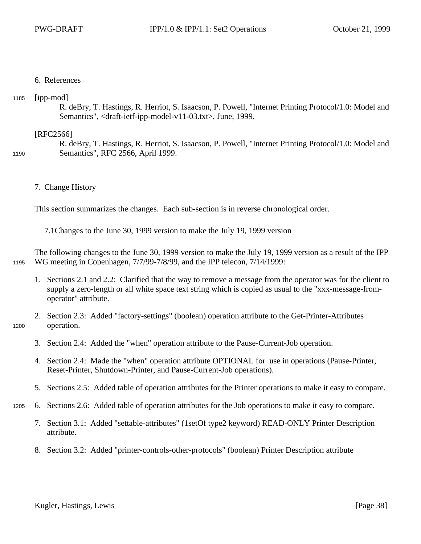#### 6. References

#### [ipp-mod] 1185

1200

R. deBry, T. Hastings, R. Herriot, S. Isaacson, P. Powell, "Internet Printing Protocol/1.0: Model and Semantics", <draft-ietf-ipp-model-v11-03.txt>, June, 1999.

#### [RFC2566]

R. deBry, T. Hastings, R. Herriot, S. Isaacson, P. Powell, "Internet Printing Protocol/1.0: Model and Semantics", RFC 2566, April 1999. 1190

7. Change History

This section summarizes the changes. Each sub-section is in reverse chronological order.

7.1Changes to the June 30, 1999 version to make the July 19, 1999 version

The following changes to the June 30, 1999 version to make the July 19, 1999 version as a result of the IPP WG meeting in Copenhagen, 7/7/99-7/8/99, and the IPP telecon, 7/14/1999: 1195

- 1. Sections 2.1 and 2.2: Clarified that the way to remove a message from the operator was for the client to supply a zero-length or all white space text string which is copied as usual to the "xxx-message-fromoperator" attribute.
- 2. Section 2.3: Added "factory-settings" (boolean) operation attribute to the Get-Printer-Attributes operation.
	- 3. Section 2.4: Added the "when" operation attribute to the Pause-Current-Job operation.
	- 4. Section 2.4: Made the "when" operation attribute OPTIONAL for use in operations (Pause-Printer, Reset-Printer, Shutdown-Printer, and Pause-Current-Job operations).
	- 5. Sections 2.5: Added table of operation attributes for the Printer operations to make it easy to compare.
- 6. Sections 2.6: Added table of operation attributes for the Job operations to make it easy to compare. 1205
	- 7. Section 3.1: Added "settable-attributes" (1setOf type2 keyword) READ-ONLY Printer Description attribute.
	- 8. Section 3.2: Added "printer-controls-other-protocols" (boolean) Printer Description attribute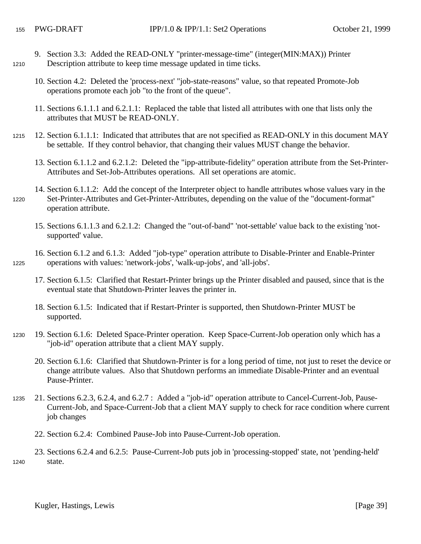1225

1240

- 9. Section 3.3: Added the READ-ONLY "printer-message-time" (integer(MIN:MAX)) Printer Description attribute to keep time message updated in time ticks. 1210
	- 10. Section 4.2: Deleted the 'process-next' "job-state-reasons" value, so that repeated Promote-Job operations promote each job "to the front of the queue".
	- 11. Sections 6.1.1.1 and 6.2.1.1: Replaced the table that listed all attributes with one that lists only the attributes that MUST be READ-ONLY.
- 12. Section 6.1.1.1: Indicated that attributes that are not specified as READ-ONLY in this document MAY be settable. If they control behavior, that changing their values MUST change the behavior. 1215
	- 13. Section 6.1.1.2 and 6.2.1.2: Deleted the "ipp-attribute-fidelity" operation attribute from the Set-Printer-Attributes and Set-Job-Attributes operations. All set operations are atomic.
- 14. Section 6.1.1.2: Add the concept of the Interpreter object to handle attributes whose values vary in the Set-Printer-Attributes and Get-Printer-Attributes, depending on the value of the "document-format" operation attribute. 1220
	- 15. Sections 6.1.1.3 and 6.2.1.2: Changed the "out-of-band" 'not-settable' value back to the existing 'notsupported' value.
	- 16. Section 6.1.2 and 6.1.3: Added "job-type" operation attribute to Disable-Printer and Enable-Printer operations with values: 'network-jobs', 'walk-up-jobs', and 'all-jobs'.
		- 17. Section 6.1.5: Clarified that Restart-Printer brings up the Printer disabled and paused, since that is the eventual state that Shutdown-Printer leaves the printer in.
		- 18. Section 6.1.5: Indicated that if Restart-Printer is supported, then Shutdown-Printer MUST be supported.
- 19. Section 6.1.6: Deleted Space-Printer operation. Keep Space-Current-Job operation only which has a "job-id" operation attribute that a client MAY supply. 1230
	- 20. Section 6.1.6: Clarified that Shutdown-Printer is for a long period of time, not just to reset the device or change attribute values. Also that Shutdown performs an immediate Disable-Printer and an eventual Pause-Printer.
- 21. Sections 6.2.3, 6.2.4, and 6.2.7 : Added a "job-id" operation attribute to Cancel-Current-Job, Pause-Current-Job, and Space-Current-Job that a client MAY supply to check for race condition where current job changes 1235
	- 22. Section 6.2.4: Combined Pause-Job into Pause-Current-Job operation.
	- 23. Sections 6.2.4 and 6.2.5: Pause-Current-Job puts job in 'processing-stopped' state, not 'pending-held' state.